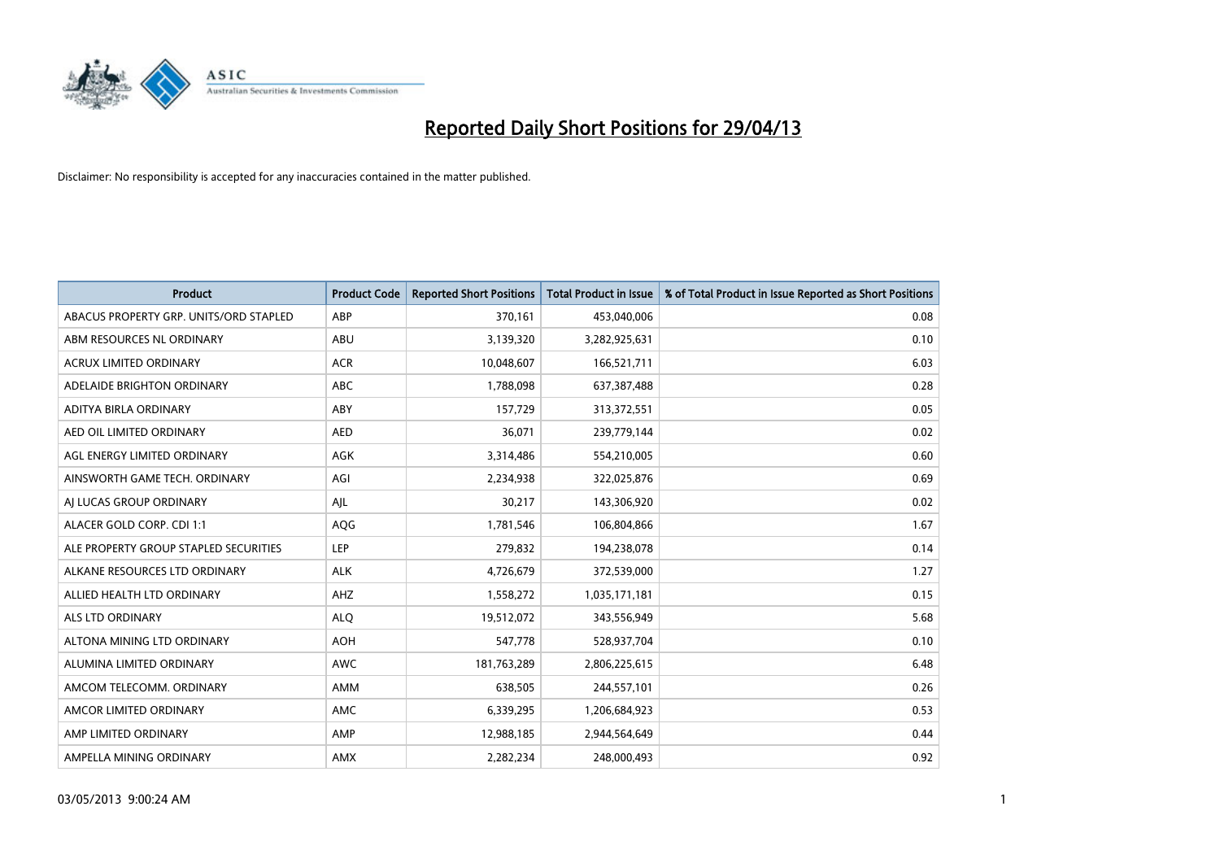

| <b>Product</b>                         | <b>Product Code</b> | <b>Reported Short Positions</b> | <b>Total Product in Issue</b> | % of Total Product in Issue Reported as Short Positions |
|----------------------------------------|---------------------|---------------------------------|-------------------------------|---------------------------------------------------------|
| ABACUS PROPERTY GRP. UNITS/ORD STAPLED | ABP                 | 370,161                         | 453,040,006                   | 0.08                                                    |
| ABM RESOURCES NL ORDINARY              | ABU                 | 3,139,320                       | 3,282,925,631                 | 0.10                                                    |
| <b>ACRUX LIMITED ORDINARY</b>          | <b>ACR</b>          | 10,048,607                      | 166,521,711                   | 6.03                                                    |
| ADELAIDE BRIGHTON ORDINARY             | <b>ABC</b>          | 1,788,098                       | 637,387,488                   | 0.28                                                    |
| ADITYA BIRLA ORDINARY                  | ABY                 | 157,729                         | 313,372,551                   | 0.05                                                    |
| AED OIL LIMITED ORDINARY               | <b>AED</b>          | 36,071                          | 239,779,144                   | 0.02                                                    |
| AGL ENERGY LIMITED ORDINARY            | AGK                 | 3,314,486                       | 554,210,005                   | 0.60                                                    |
| AINSWORTH GAME TECH. ORDINARY          | AGI                 | 2,234,938                       | 322,025,876                   | 0.69                                                    |
| AI LUCAS GROUP ORDINARY                | AJL                 | 30,217                          | 143,306,920                   | 0.02                                                    |
| ALACER GOLD CORP. CDI 1:1              | <b>AQG</b>          | 1,781,546                       | 106,804,866                   | 1.67                                                    |
| ALE PROPERTY GROUP STAPLED SECURITIES  | <b>LEP</b>          | 279,832                         | 194,238,078                   | 0.14                                                    |
| ALKANE RESOURCES LTD ORDINARY          | <b>ALK</b>          | 4,726,679                       | 372,539,000                   | 1.27                                                    |
| ALLIED HEALTH LTD ORDINARY             | AHZ                 | 1,558,272                       | 1,035,171,181                 | 0.15                                                    |
| <b>ALS LTD ORDINARY</b>                | <b>ALO</b>          | 19,512,072                      | 343,556,949                   | 5.68                                                    |
| ALTONA MINING LTD ORDINARY             | <b>AOH</b>          | 547,778                         | 528,937,704                   | 0.10                                                    |
| ALUMINA LIMITED ORDINARY               | AWC                 | 181,763,289                     | 2,806,225,615                 | 6.48                                                    |
| AMCOM TELECOMM. ORDINARY               | AMM                 | 638,505                         | 244,557,101                   | 0.26                                                    |
| AMCOR LIMITED ORDINARY                 | <b>AMC</b>          | 6,339,295                       | 1,206,684,923                 | 0.53                                                    |
| AMP LIMITED ORDINARY                   | AMP                 | 12,988,185                      | 2,944,564,649                 | 0.44                                                    |
| AMPELLA MINING ORDINARY                | AMX                 | 2,282,234                       | 248,000,493                   | 0.92                                                    |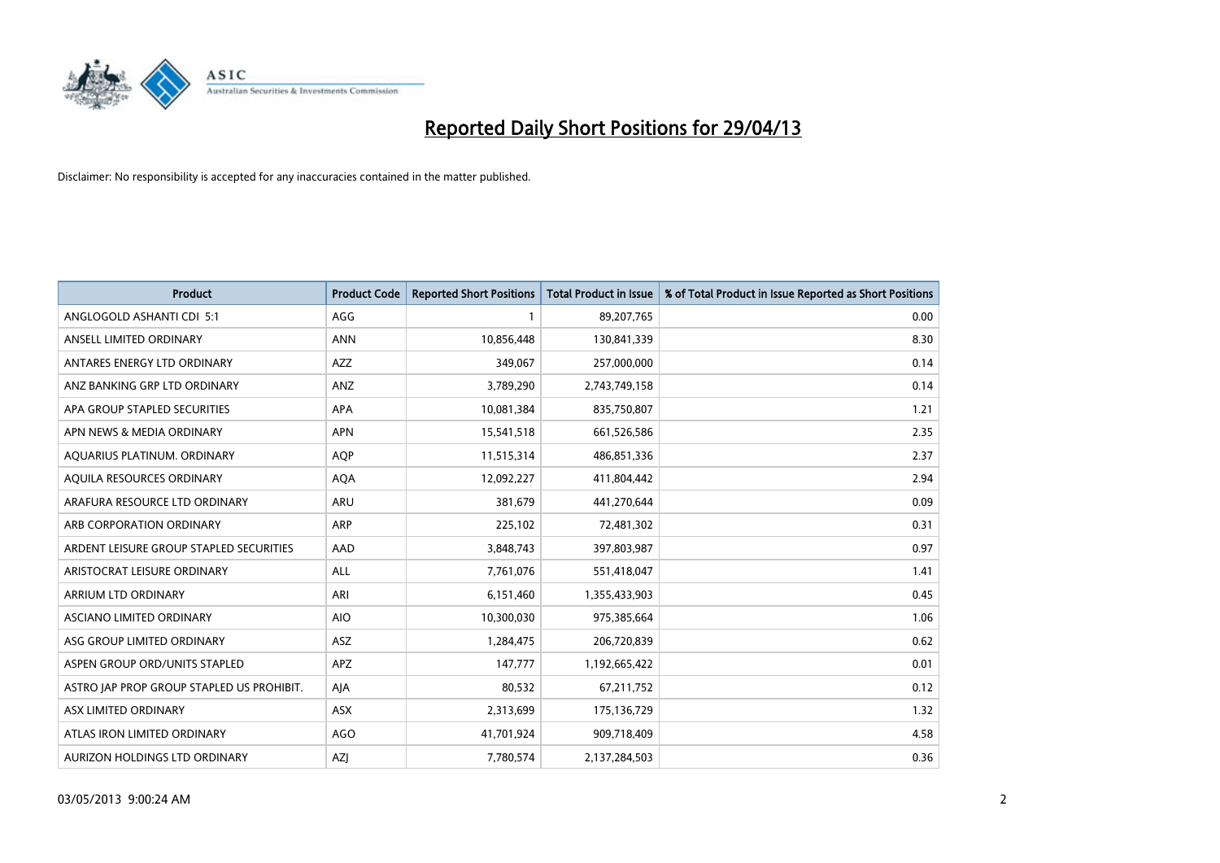

| <b>Product</b>                            | <b>Product Code</b> | <b>Reported Short Positions</b> | <b>Total Product in Issue</b> | % of Total Product in Issue Reported as Short Positions |
|-------------------------------------------|---------------------|---------------------------------|-------------------------------|---------------------------------------------------------|
| ANGLOGOLD ASHANTI CDI 5:1                 | AGG                 |                                 | 89,207,765                    | 0.00                                                    |
| ANSELL LIMITED ORDINARY                   | <b>ANN</b>          | 10,856,448                      | 130,841,339                   | 8.30                                                    |
| ANTARES ENERGY LTD ORDINARY               | <b>AZZ</b>          | 349,067                         | 257,000,000                   | 0.14                                                    |
| ANZ BANKING GRP LTD ORDINARY              | ANZ                 | 3,789,290                       | 2,743,749,158                 | 0.14                                                    |
| APA GROUP STAPLED SECURITIES              | APA                 | 10,081,384                      | 835,750,807                   | 1.21                                                    |
| APN NEWS & MEDIA ORDINARY                 | <b>APN</b>          | 15,541,518                      | 661,526,586                   | 2.35                                                    |
| AQUARIUS PLATINUM. ORDINARY               | <b>AOP</b>          | 11,515,314                      | 486,851,336                   | 2.37                                                    |
| AQUILA RESOURCES ORDINARY                 | <b>AQA</b>          | 12,092,227                      | 411,804,442                   | 2.94                                                    |
| ARAFURA RESOURCE LTD ORDINARY             | <b>ARU</b>          | 381,679                         | 441,270,644                   | 0.09                                                    |
| ARB CORPORATION ORDINARY                  | <b>ARP</b>          | 225,102                         | 72,481,302                    | 0.31                                                    |
| ARDENT LEISURE GROUP STAPLED SECURITIES   | AAD                 | 3,848,743                       | 397,803,987                   | 0.97                                                    |
| ARISTOCRAT LEISURE ORDINARY               | ALL                 | 7,761,076                       | 551,418,047                   | 1.41                                                    |
| ARRIUM LTD ORDINARY                       | ARI                 | 6,151,460                       | 1,355,433,903                 | 0.45                                                    |
| <b>ASCIANO LIMITED ORDINARY</b>           | <b>AIO</b>          | 10,300,030                      | 975,385,664                   | 1.06                                                    |
| ASG GROUP LIMITED ORDINARY                | <b>ASZ</b>          | 1,284,475                       | 206,720,839                   | 0.62                                                    |
| ASPEN GROUP ORD/UNITS STAPLED             | APZ                 | 147,777                         | 1,192,665,422                 | 0.01                                                    |
| ASTRO JAP PROP GROUP STAPLED US PROHIBIT. | AJA                 | 80,532                          | 67,211,752                    | 0.12                                                    |
| ASX LIMITED ORDINARY                      | ASX                 | 2,313,699                       | 175,136,729                   | 1.32                                                    |
| ATLAS IRON LIMITED ORDINARY               | <b>AGO</b>          | 41,701,924                      | 909,718,409                   | 4.58                                                    |
| AURIZON HOLDINGS LTD ORDINARY             | AZJ                 | 7,780,574                       | 2,137,284,503                 | 0.36                                                    |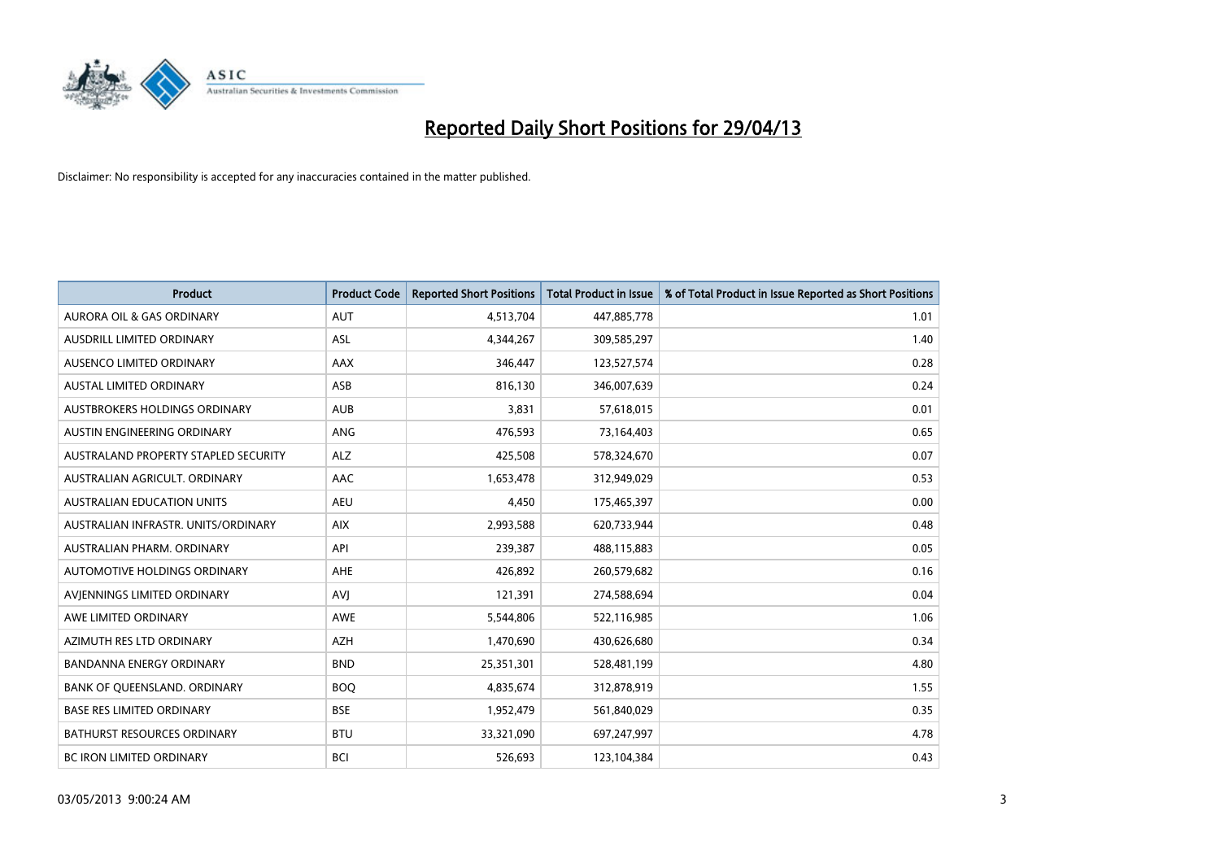

| <b>Product</b>                       | <b>Product Code</b> | <b>Reported Short Positions</b> | <b>Total Product in Issue</b> | % of Total Product in Issue Reported as Short Positions |
|--------------------------------------|---------------------|---------------------------------|-------------------------------|---------------------------------------------------------|
| <b>AURORA OIL &amp; GAS ORDINARY</b> | AUT                 | 4,513,704                       | 447,885,778                   | 1.01                                                    |
| AUSDRILL LIMITED ORDINARY            | ASL                 | 4,344,267                       | 309,585,297                   | 1.40                                                    |
| AUSENCO LIMITED ORDINARY             | AAX                 | 346,447                         | 123,527,574                   | 0.28                                                    |
| AUSTAL LIMITED ORDINARY              | ASB                 | 816,130                         | 346,007,639                   | 0.24                                                    |
| <b>AUSTBROKERS HOLDINGS ORDINARY</b> | <b>AUB</b>          | 3,831                           | 57,618,015                    | 0.01                                                    |
| AUSTIN ENGINEERING ORDINARY          | <b>ANG</b>          | 476,593                         | 73,164,403                    | 0.65                                                    |
| AUSTRALAND PROPERTY STAPLED SECURITY | ALZ                 | 425,508                         | 578,324,670                   | 0.07                                                    |
| AUSTRALIAN AGRICULT. ORDINARY        | AAC                 | 1,653,478                       | 312,949,029                   | 0.53                                                    |
| AUSTRALIAN EDUCATION UNITS           | <b>AEU</b>          | 4,450                           | 175,465,397                   | 0.00                                                    |
| AUSTRALIAN INFRASTR, UNITS/ORDINARY  | <b>AIX</b>          | 2,993,588                       | 620,733,944                   | 0.48                                                    |
| AUSTRALIAN PHARM. ORDINARY           | API                 | 239,387                         | 488,115,883                   | 0.05                                                    |
| AUTOMOTIVE HOLDINGS ORDINARY         | <b>AHE</b>          | 426,892                         | 260,579,682                   | 0.16                                                    |
| AVIENNINGS LIMITED ORDINARY          | <b>AVI</b>          | 121,391                         | 274,588,694                   | 0.04                                                    |
| AWE LIMITED ORDINARY                 | AWE                 | 5,544,806                       | 522,116,985                   | 1.06                                                    |
| AZIMUTH RES LTD ORDINARY             | <b>AZH</b>          | 1,470,690                       | 430,626,680                   | 0.34                                                    |
| <b>BANDANNA ENERGY ORDINARY</b>      | <b>BND</b>          | 25,351,301                      | 528,481,199                   | 4.80                                                    |
| BANK OF QUEENSLAND. ORDINARY         | <b>BOQ</b>          | 4,835,674                       | 312,878,919                   | 1.55                                                    |
| <b>BASE RES LIMITED ORDINARY</b>     | <b>BSE</b>          | 1,952,479                       | 561,840,029                   | 0.35                                                    |
| <b>BATHURST RESOURCES ORDINARY</b>   | <b>BTU</b>          | 33,321,090                      | 697,247,997                   | 4.78                                                    |
| <b>BC IRON LIMITED ORDINARY</b>      | <b>BCI</b>          | 526,693                         | 123,104,384                   | 0.43                                                    |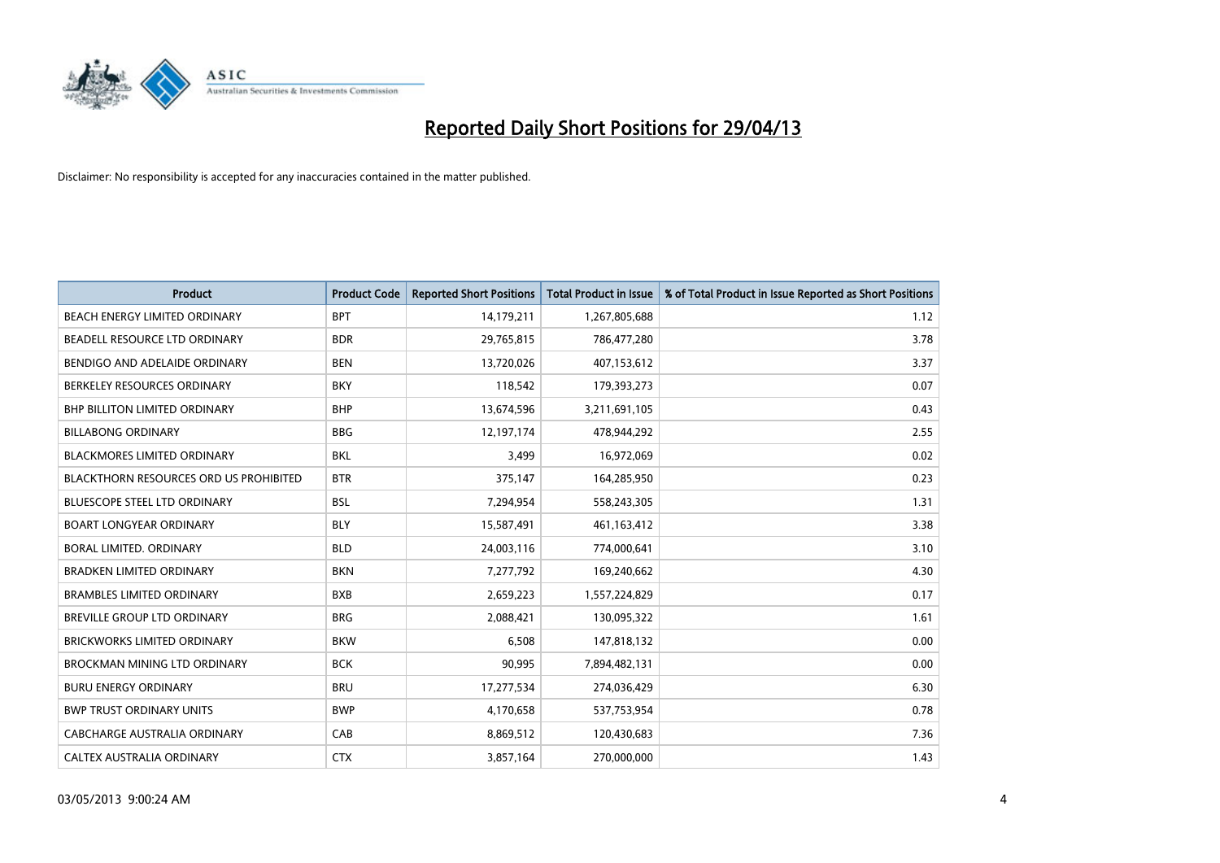

| <b>Product</b>                                | <b>Product Code</b> | <b>Reported Short Positions</b> | <b>Total Product in Issue</b> | % of Total Product in Issue Reported as Short Positions |
|-----------------------------------------------|---------------------|---------------------------------|-------------------------------|---------------------------------------------------------|
| BEACH ENERGY LIMITED ORDINARY                 | <b>BPT</b>          | 14,179,211                      | 1,267,805,688                 | 1.12                                                    |
| BEADELL RESOURCE LTD ORDINARY                 | <b>BDR</b>          | 29,765,815                      | 786,477,280                   | 3.78                                                    |
| BENDIGO AND ADELAIDE ORDINARY                 | <b>BEN</b>          | 13,720,026                      | 407,153,612                   | 3.37                                                    |
| BERKELEY RESOURCES ORDINARY                   | <b>BKY</b>          | 118,542                         | 179,393,273                   | 0.07                                                    |
| <b>BHP BILLITON LIMITED ORDINARY</b>          | <b>BHP</b>          | 13,674,596                      | 3,211,691,105                 | 0.43                                                    |
| <b>BILLABONG ORDINARY</b>                     | <b>BBG</b>          | 12,197,174                      | 478,944,292                   | 2.55                                                    |
| <b>BLACKMORES LIMITED ORDINARY</b>            | <b>BKL</b>          | 3,499                           | 16,972,069                    | 0.02                                                    |
| <b>BLACKTHORN RESOURCES ORD US PROHIBITED</b> | <b>BTR</b>          | 375,147                         | 164,285,950                   | 0.23                                                    |
| BLUESCOPE STEEL LTD ORDINARY                  | <b>BSL</b>          | 7,294,954                       | 558,243,305                   | 1.31                                                    |
| <b>BOART LONGYEAR ORDINARY</b>                | <b>BLY</b>          | 15,587,491                      | 461,163,412                   | 3.38                                                    |
| BORAL LIMITED, ORDINARY                       | <b>BLD</b>          | 24,003,116                      | 774,000,641                   | 3.10                                                    |
| <b>BRADKEN LIMITED ORDINARY</b>               | <b>BKN</b>          | 7,277,792                       | 169,240,662                   | 4.30                                                    |
| <b>BRAMBLES LIMITED ORDINARY</b>              | <b>BXB</b>          | 2,659,223                       | 1,557,224,829                 | 0.17                                                    |
| BREVILLE GROUP LTD ORDINARY                   | <b>BRG</b>          | 2,088,421                       | 130,095,322                   | 1.61                                                    |
| <b>BRICKWORKS LIMITED ORDINARY</b>            | <b>BKW</b>          | 6,508                           | 147,818,132                   | 0.00                                                    |
| <b>BROCKMAN MINING LTD ORDINARY</b>           | <b>BCK</b>          | 90,995                          | 7,894,482,131                 | 0.00                                                    |
| <b>BURU ENERGY ORDINARY</b>                   | <b>BRU</b>          | 17,277,534                      | 274,036,429                   | 6.30                                                    |
| <b>BWP TRUST ORDINARY UNITS</b>               | <b>BWP</b>          | 4,170,658                       | 537,753,954                   | 0.78                                                    |
| CABCHARGE AUSTRALIA ORDINARY                  | CAB                 | 8,869,512                       | 120,430,683                   | 7.36                                                    |
| CALTEX AUSTRALIA ORDINARY                     | <b>CTX</b>          | 3,857,164                       | 270,000,000                   | 1.43                                                    |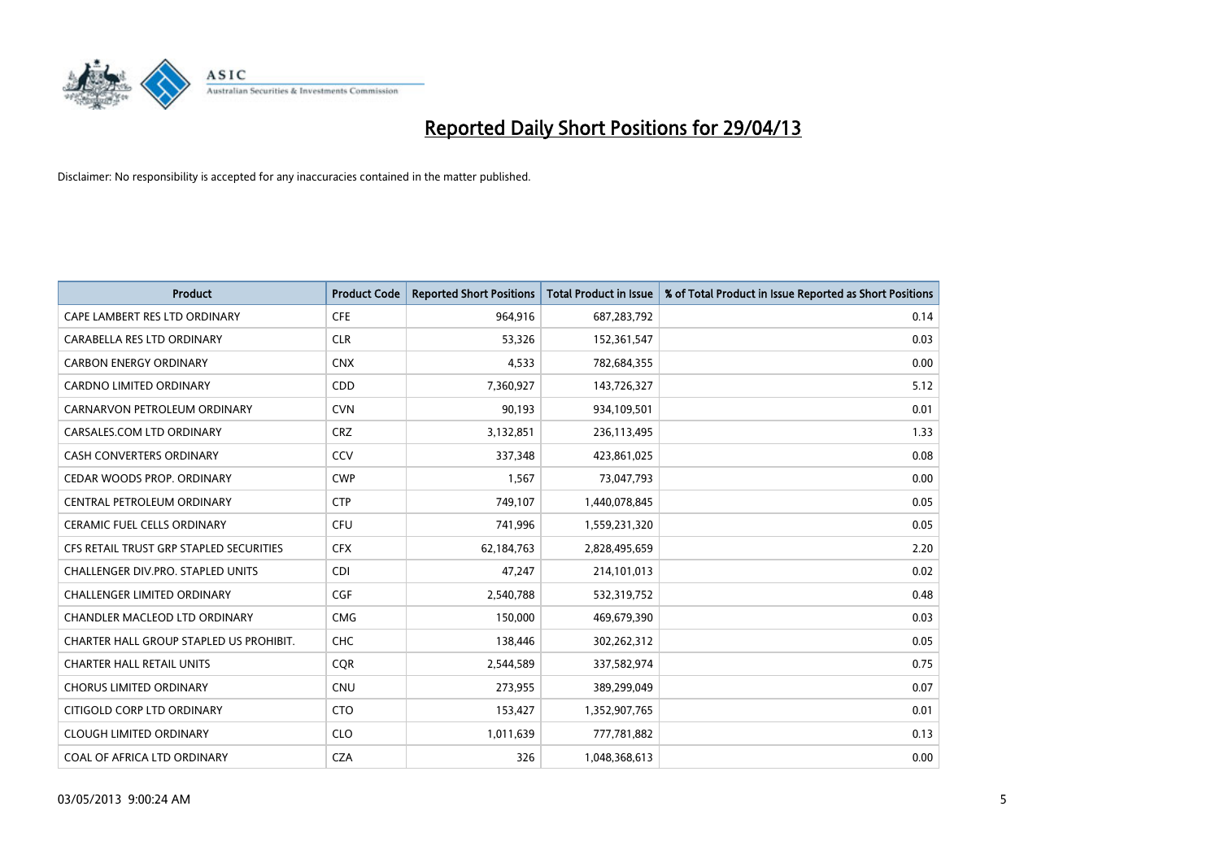

| <b>Product</b>                          | <b>Product Code</b> | <b>Reported Short Positions</b> | <b>Total Product in Issue</b> | % of Total Product in Issue Reported as Short Positions |
|-----------------------------------------|---------------------|---------------------------------|-------------------------------|---------------------------------------------------------|
| CAPE LAMBERT RES LTD ORDINARY           | <b>CFE</b>          | 964,916                         | 687,283,792                   | 0.14                                                    |
| CARABELLA RES LTD ORDINARY              | <b>CLR</b>          | 53,326                          | 152,361,547                   | 0.03                                                    |
| <b>CARBON ENERGY ORDINARY</b>           | <b>CNX</b>          | 4,533                           | 782,684,355                   | 0.00                                                    |
| <b>CARDNO LIMITED ORDINARY</b>          | CDD                 | 7,360,927                       | 143,726,327                   | 5.12                                                    |
| CARNARVON PETROLEUM ORDINARY            | <b>CVN</b>          | 90,193                          | 934,109,501                   | 0.01                                                    |
| CARSALES.COM LTD ORDINARY               | <b>CRZ</b>          | 3,132,851                       | 236,113,495                   | 1.33                                                    |
| CASH CONVERTERS ORDINARY                | CCV                 | 337,348                         | 423,861,025                   | 0.08                                                    |
| CEDAR WOODS PROP. ORDINARY              | <b>CWP</b>          | 1,567                           | 73,047,793                    | 0.00                                                    |
| CENTRAL PETROLEUM ORDINARY              | <b>CTP</b>          | 749,107                         | 1,440,078,845                 | 0.05                                                    |
| <b>CERAMIC FUEL CELLS ORDINARY</b>      | <b>CFU</b>          | 741,996                         | 1,559,231,320                 | 0.05                                                    |
| CFS RETAIL TRUST GRP STAPLED SECURITIES | <b>CFX</b>          | 62,184,763                      | 2,828,495,659                 | 2.20                                                    |
| CHALLENGER DIV.PRO. STAPLED UNITS       | <b>CDI</b>          | 47,247                          | 214,101,013                   | 0.02                                                    |
| <b>CHALLENGER LIMITED ORDINARY</b>      | <b>CGF</b>          | 2,540,788                       | 532,319,752                   | 0.48                                                    |
| CHANDLER MACLEOD LTD ORDINARY           | <b>CMG</b>          | 150,000                         | 469,679,390                   | 0.03                                                    |
| CHARTER HALL GROUP STAPLED US PROHIBIT. | <b>CHC</b>          | 138,446                         | 302,262,312                   | 0.05                                                    |
| <b>CHARTER HALL RETAIL UNITS</b>        | <b>CQR</b>          | 2,544,589                       | 337,582,974                   | 0.75                                                    |
| <b>CHORUS LIMITED ORDINARY</b>          | <b>CNU</b>          | 273,955                         | 389,299,049                   | 0.07                                                    |
| CITIGOLD CORP LTD ORDINARY              | <b>CTO</b>          | 153,427                         | 1,352,907,765                 | 0.01                                                    |
| <b>CLOUGH LIMITED ORDINARY</b>          | <b>CLO</b>          | 1,011,639                       | 777,781,882                   | 0.13                                                    |
| COAL OF AFRICA LTD ORDINARY             | <b>CZA</b>          | 326                             | 1,048,368,613                 | 0.00                                                    |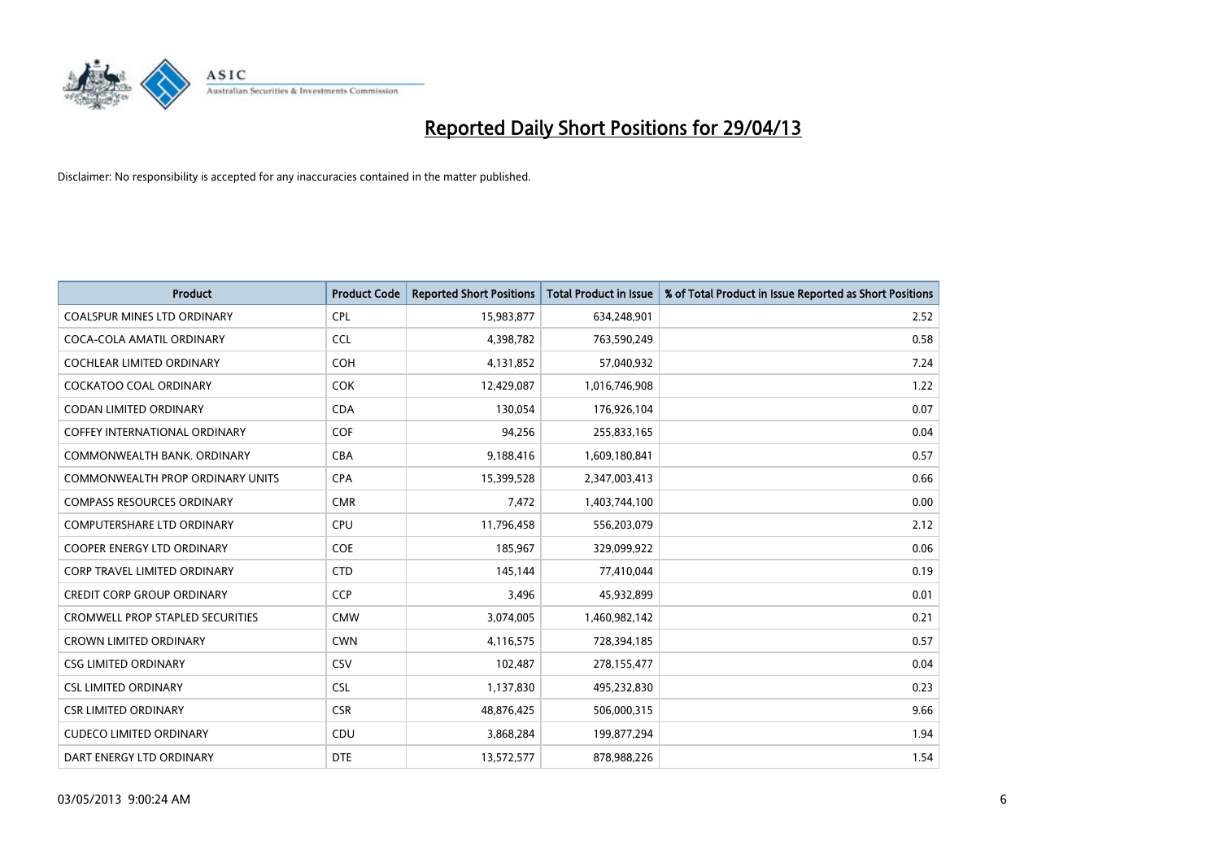

| <b>Product</b>                          | <b>Product Code</b> | <b>Reported Short Positions</b> | <b>Total Product in Issue</b> | % of Total Product in Issue Reported as Short Positions |
|-----------------------------------------|---------------------|---------------------------------|-------------------------------|---------------------------------------------------------|
| <b>COALSPUR MINES LTD ORDINARY</b>      | <b>CPL</b>          | 15,983,877                      | 634,248,901                   | 2.52                                                    |
| COCA-COLA AMATIL ORDINARY               | <b>CCL</b>          | 4,398,782                       | 763,590,249                   | 0.58                                                    |
| <b>COCHLEAR LIMITED ORDINARY</b>        | <b>COH</b>          | 4,131,852                       | 57,040,932                    | 7.24                                                    |
| COCKATOO COAL ORDINARY                  | <b>COK</b>          | 12,429,087                      | 1,016,746,908                 | 1.22                                                    |
| <b>CODAN LIMITED ORDINARY</b>           | <b>CDA</b>          | 130,054                         | 176,926,104                   | 0.07                                                    |
| <b>COFFEY INTERNATIONAL ORDINARY</b>    | COF                 | 94,256                          | 255,833,165                   | 0.04                                                    |
| COMMONWEALTH BANK, ORDINARY             | <b>CBA</b>          | 9,188,416                       | 1,609,180,841                 | 0.57                                                    |
| COMMONWEALTH PROP ORDINARY UNITS        | <b>CPA</b>          | 15,399,528                      | 2,347,003,413                 | 0.66                                                    |
| <b>COMPASS RESOURCES ORDINARY</b>       | <b>CMR</b>          | 7,472                           | 1,403,744,100                 | 0.00                                                    |
| <b>COMPUTERSHARE LTD ORDINARY</b>       | <b>CPU</b>          | 11,796,458                      | 556,203,079                   | 2.12                                                    |
| COOPER ENERGY LTD ORDINARY              | <b>COE</b>          | 185,967                         | 329,099,922                   | 0.06                                                    |
| <b>CORP TRAVEL LIMITED ORDINARY</b>     | <b>CTD</b>          | 145,144                         | 77,410,044                    | 0.19                                                    |
| <b>CREDIT CORP GROUP ORDINARY</b>       | <b>CCP</b>          | 3,496                           | 45,932,899                    | 0.01                                                    |
| <b>CROMWELL PROP STAPLED SECURITIES</b> | <b>CMW</b>          | 3,074,005                       | 1,460,982,142                 | 0.21                                                    |
| <b>CROWN LIMITED ORDINARY</b>           | <b>CWN</b>          | 4,116,575                       | 728,394,185                   | 0.57                                                    |
| <b>CSG LIMITED ORDINARY</b>             | <b>CSV</b>          | 102,487                         | 278,155,477                   | 0.04                                                    |
| <b>CSL LIMITED ORDINARY</b>             | <b>CSL</b>          | 1,137,830                       | 495,232,830                   | 0.23                                                    |
| <b>CSR LIMITED ORDINARY</b>             | <b>CSR</b>          | 48,876,425                      | 506,000,315                   | 9.66                                                    |
| <b>CUDECO LIMITED ORDINARY</b>          | CDU                 | 3,868,284                       | 199,877,294                   | 1.94                                                    |
| DART ENERGY LTD ORDINARY                | <b>DTE</b>          | 13,572,577                      | 878,988,226                   | 1.54                                                    |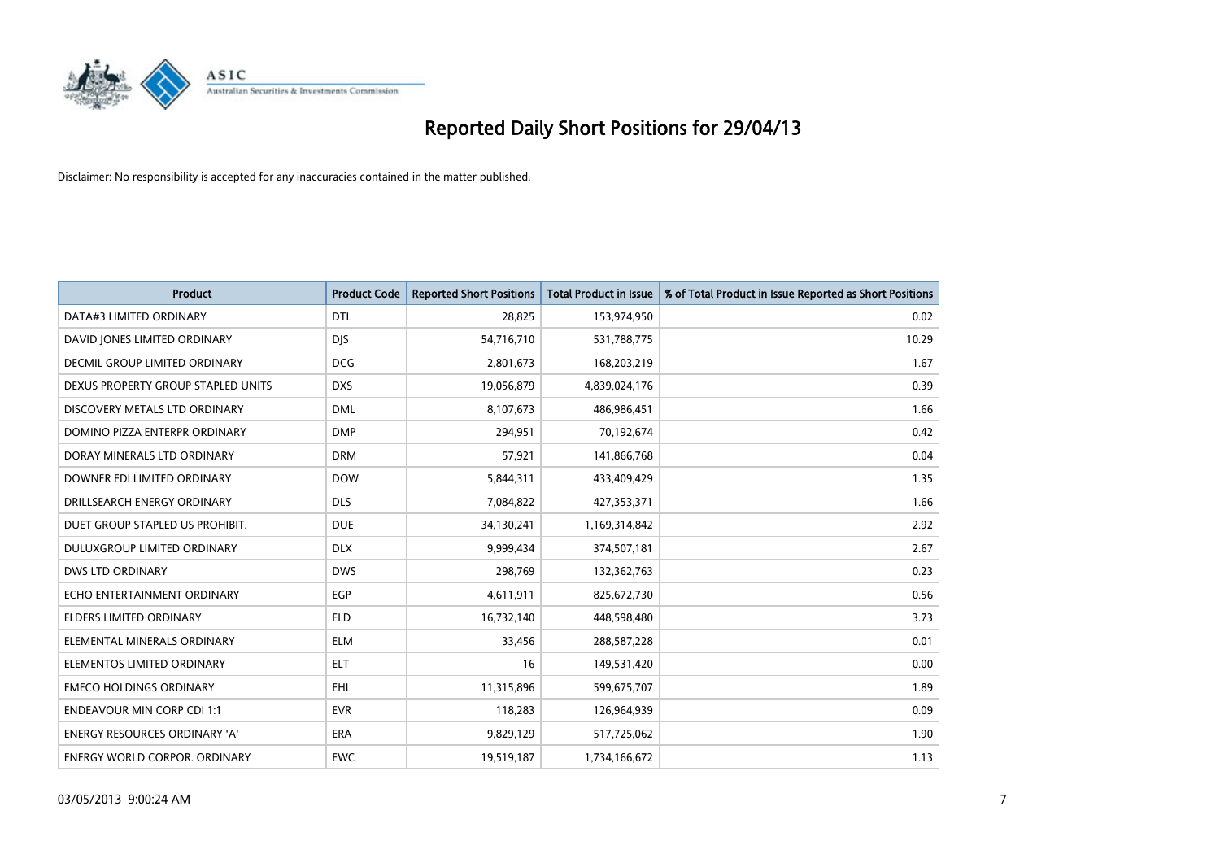

| <b>Product</b>                       | <b>Product Code</b> | <b>Reported Short Positions</b> | <b>Total Product in Issue</b> | % of Total Product in Issue Reported as Short Positions |
|--------------------------------------|---------------------|---------------------------------|-------------------------------|---------------------------------------------------------|
| DATA#3 LIMITED ORDINARY              | <b>DTL</b>          | 28,825                          | 153,974,950                   | 0.02                                                    |
| DAVID JONES LIMITED ORDINARY         | <b>DIS</b>          | 54,716,710                      | 531,788,775                   | 10.29                                                   |
| <b>DECMIL GROUP LIMITED ORDINARY</b> | <b>DCG</b>          | 2,801,673                       | 168,203,219                   | 1.67                                                    |
| DEXUS PROPERTY GROUP STAPLED UNITS   | <b>DXS</b>          | 19,056,879                      | 4,839,024,176                 | 0.39                                                    |
| DISCOVERY METALS LTD ORDINARY        | <b>DML</b>          | 8,107,673                       | 486,986,451                   | 1.66                                                    |
| DOMINO PIZZA ENTERPR ORDINARY        | <b>DMP</b>          | 294,951                         | 70,192,674                    | 0.42                                                    |
| DORAY MINERALS LTD ORDINARY          | <b>DRM</b>          | 57,921                          | 141,866,768                   | 0.04                                                    |
| DOWNER EDI LIMITED ORDINARY          | <b>DOW</b>          | 5,844,311                       | 433,409,429                   | 1.35                                                    |
| DRILLSEARCH ENERGY ORDINARY          | <b>DLS</b>          | 7,084,822                       | 427,353,371                   | 1.66                                                    |
| DUET GROUP STAPLED US PROHIBIT.      | <b>DUE</b>          | 34,130,241                      | 1,169,314,842                 | 2.92                                                    |
| DULUXGROUP LIMITED ORDINARY          | <b>DLX</b>          | 9,999,434                       | 374,507,181                   | 2.67                                                    |
| <b>DWS LTD ORDINARY</b>              | <b>DWS</b>          | 298,769                         | 132,362,763                   | 0.23                                                    |
| ECHO ENTERTAINMENT ORDINARY          | <b>EGP</b>          | 4,611,911                       | 825,672,730                   | 0.56                                                    |
| <b>ELDERS LIMITED ORDINARY</b>       | <b>ELD</b>          | 16,732,140                      | 448,598,480                   | 3.73                                                    |
| ELEMENTAL MINERALS ORDINARY          | <b>ELM</b>          | 33,456                          | 288,587,228                   | 0.01                                                    |
| ELEMENTOS LIMITED ORDINARY           | <b>ELT</b>          | 16                              | 149,531,420                   | 0.00                                                    |
| <b>EMECO HOLDINGS ORDINARY</b>       | <b>EHL</b>          | 11,315,896                      | 599,675,707                   | 1.89                                                    |
| <b>ENDEAVOUR MIN CORP CDI 1:1</b>    | <b>EVR</b>          | 118,283                         | 126,964,939                   | 0.09                                                    |
| <b>ENERGY RESOURCES ORDINARY 'A'</b> | <b>ERA</b>          | 9,829,129                       | 517,725,062                   | 1.90                                                    |
| <b>ENERGY WORLD CORPOR. ORDINARY</b> | <b>EWC</b>          | 19,519,187                      | 1,734,166,672                 | 1.13                                                    |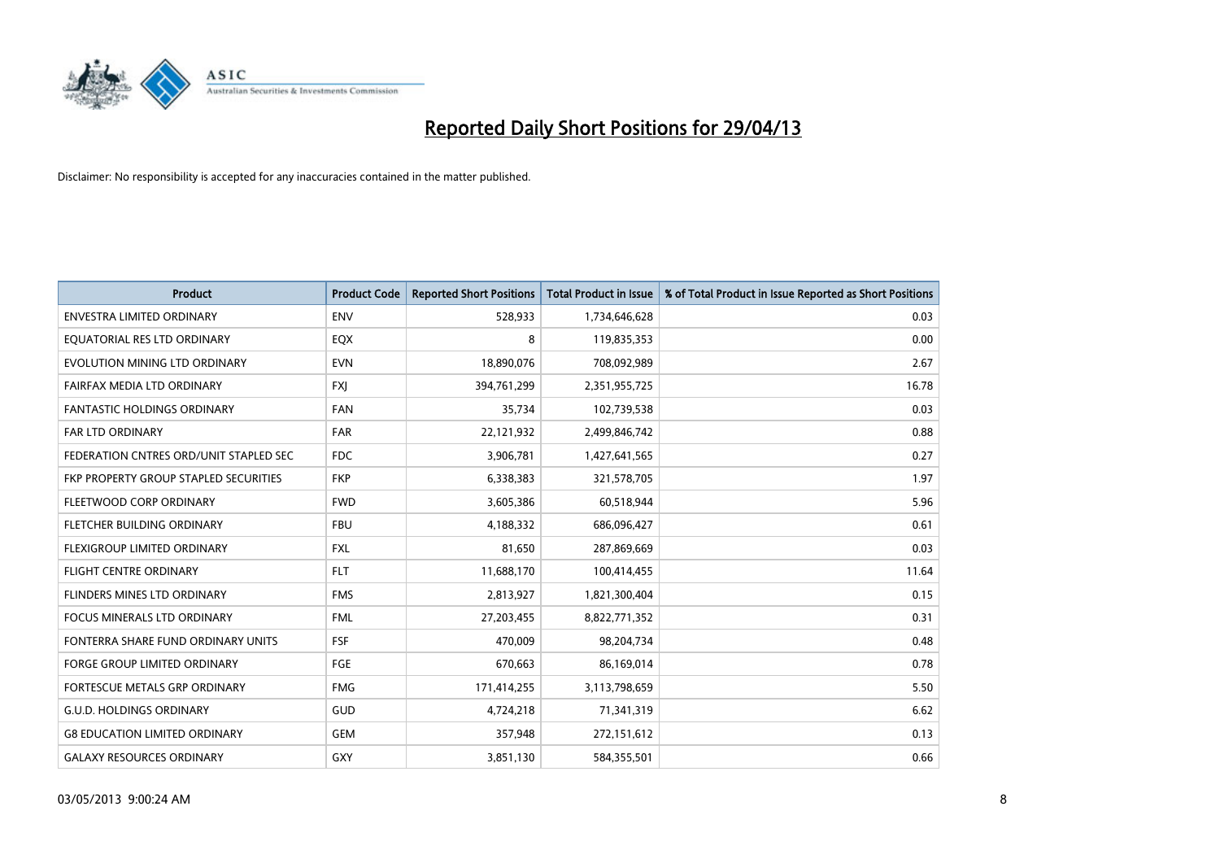

| <b>Product</b>                         | <b>Product Code</b> | <b>Reported Short Positions</b> | <b>Total Product in Issue</b> | % of Total Product in Issue Reported as Short Positions |
|----------------------------------------|---------------------|---------------------------------|-------------------------------|---------------------------------------------------------|
| <b>ENVESTRA LIMITED ORDINARY</b>       | <b>ENV</b>          | 528,933                         | 1,734,646,628                 | 0.03                                                    |
| EQUATORIAL RES LTD ORDINARY            | EQX                 | 8                               | 119,835,353                   | 0.00                                                    |
| EVOLUTION MINING LTD ORDINARY          | <b>EVN</b>          | 18,890,076                      | 708,092,989                   | 2.67                                                    |
| FAIRFAX MEDIA LTD ORDINARY             | FXJ                 | 394,761,299                     | 2,351,955,725                 | 16.78                                                   |
| <b>FANTASTIC HOLDINGS ORDINARY</b>     | <b>FAN</b>          | 35,734                          | 102,739,538                   | 0.03                                                    |
| <b>FAR LTD ORDINARY</b>                | <b>FAR</b>          | 22,121,932                      | 2,499,846,742                 | 0.88                                                    |
| FEDERATION CNTRES ORD/UNIT STAPLED SEC | FDC                 | 3,906,781                       | 1,427,641,565                 | 0.27                                                    |
| FKP PROPERTY GROUP STAPLED SECURITIES  | <b>FKP</b>          | 6,338,383                       | 321,578,705                   | 1.97                                                    |
| FLEETWOOD CORP ORDINARY                | <b>FWD</b>          | 3,605,386                       | 60,518,944                    | 5.96                                                    |
| FLETCHER BUILDING ORDINARY             | <b>FBU</b>          | 4,188,332                       | 686,096,427                   | 0.61                                                    |
| FLEXIGROUP LIMITED ORDINARY            | <b>FXL</b>          | 81,650                          | 287,869,669                   | 0.03                                                    |
| <b>FLIGHT CENTRE ORDINARY</b>          | <b>FLT</b>          | 11,688,170                      | 100,414,455                   | 11.64                                                   |
| FLINDERS MINES LTD ORDINARY            | <b>FMS</b>          | 2,813,927                       | 1,821,300,404                 | 0.15                                                    |
| <b>FOCUS MINERALS LTD ORDINARY</b>     | <b>FML</b>          | 27,203,455                      | 8,822,771,352                 | 0.31                                                    |
| FONTERRA SHARE FUND ORDINARY UNITS     | <b>FSF</b>          | 470,009                         | 98,204,734                    | 0.48                                                    |
| FORGE GROUP LIMITED ORDINARY           | FGE                 | 670,663                         | 86,169,014                    | 0.78                                                    |
| FORTESCUE METALS GRP ORDINARY          | <b>FMG</b>          | 171,414,255                     | 3,113,798,659                 | 5.50                                                    |
| <b>G.U.D. HOLDINGS ORDINARY</b>        | GUD                 | 4,724,218                       | 71,341,319                    | 6.62                                                    |
| <b>G8 EDUCATION LIMITED ORDINARY</b>   | <b>GEM</b>          | 357,948                         | 272,151,612                   | 0.13                                                    |
| <b>GALAXY RESOURCES ORDINARY</b>       | <b>GXY</b>          | 3,851,130                       | 584,355,501                   | 0.66                                                    |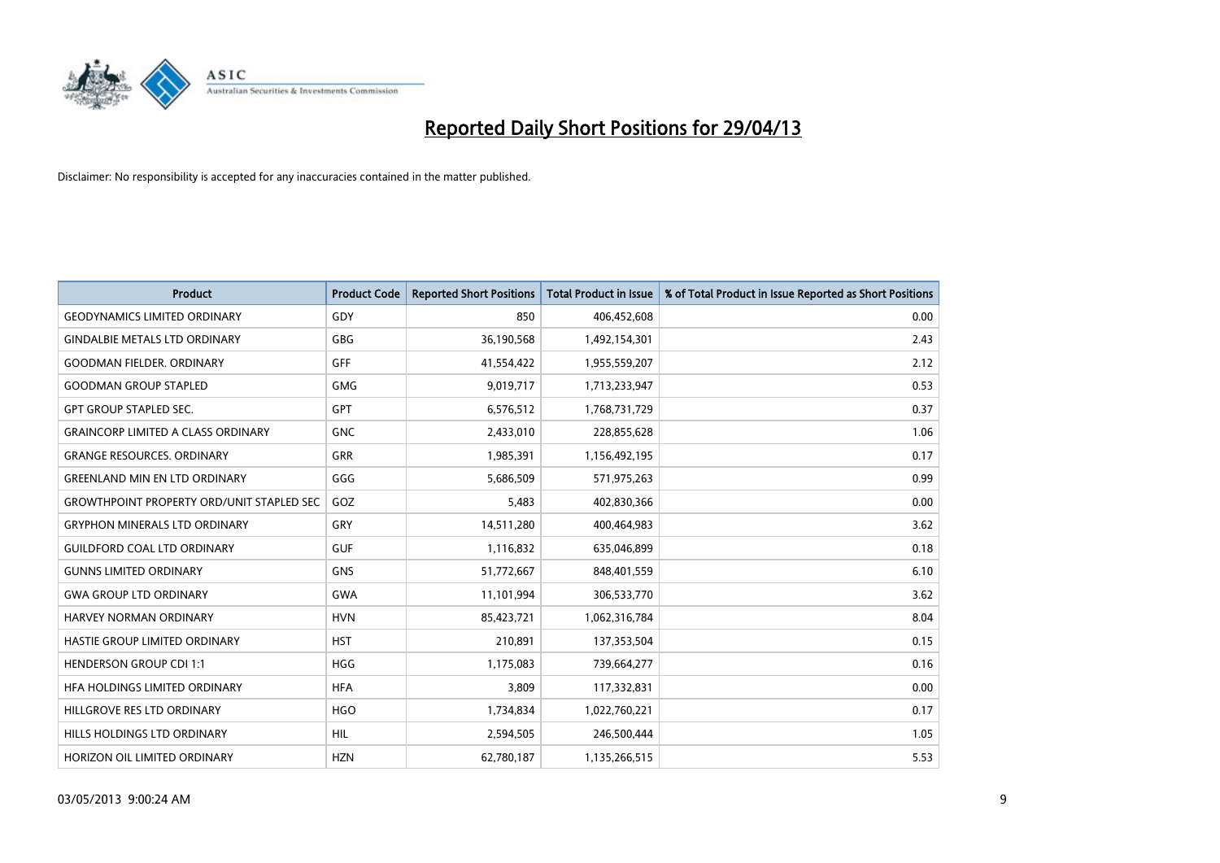

| Product                                          | <b>Product Code</b> | <b>Reported Short Positions</b> | <b>Total Product in Issue</b> | % of Total Product in Issue Reported as Short Positions |
|--------------------------------------------------|---------------------|---------------------------------|-------------------------------|---------------------------------------------------------|
| <b>GEODYNAMICS LIMITED ORDINARY</b>              | GDY                 | 850                             | 406,452,608                   | 0.00                                                    |
| <b>GINDALBIE METALS LTD ORDINARY</b>             | GBG                 | 36,190,568                      | 1,492,154,301                 | 2.43                                                    |
| <b>GOODMAN FIELDER, ORDINARY</b>                 | <b>GFF</b>          | 41,554,422                      | 1,955,559,207                 | 2.12                                                    |
| <b>GOODMAN GROUP STAPLED</b>                     | <b>GMG</b>          | 9,019,717                       | 1,713,233,947                 | 0.53                                                    |
| <b>GPT GROUP STAPLED SEC.</b>                    | <b>GPT</b>          | 6,576,512                       | 1,768,731,729                 | 0.37                                                    |
| <b>GRAINCORP LIMITED A CLASS ORDINARY</b>        | <b>GNC</b>          | 2,433,010                       | 228,855,628                   | 1.06                                                    |
| <b>GRANGE RESOURCES, ORDINARY</b>                | GRR                 | 1,985,391                       | 1,156,492,195                 | 0.17                                                    |
| <b>GREENLAND MIN EN LTD ORDINARY</b>             | GGG                 | 5,686,509                       | 571,975,263                   | 0.99                                                    |
| <b>GROWTHPOINT PROPERTY ORD/UNIT STAPLED SEC</b> | GOZ                 | 5,483                           | 402,830,366                   | 0.00                                                    |
| <b>GRYPHON MINERALS LTD ORDINARY</b>             | GRY                 | 14,511,280                      | 400,464,983                   | 3.62                                                    |
| <b>GUILDFORD COAL LTD ORDINARY</b>               | <b>GUF</b>          | 1,116,832                       | 635,046,899                   | 0.18                                                    |
| <b>GUNNS LIMITED ORDINARY</b>                    | <b>GNS</b>          | 51,772,667                      | 848,401,559                   | 6.10                                                    |
| <b>GWA GROUP LTD ORDINARY</b>                    | <b>GWA</b>          | 11,101,994                      | 306,533,770                   | 3.62                                                    |
| HARVEY NORMAN ORDINARY                           | <b>HVN</b>          | 85,423,721                      | 1,062,316,784                 | 8.04                                                    |
| HASTIE GROUP LIMITED ORDINARY                    | <b>HST</b>          | 210,891                         | 137,353,504                   | 0.15                                                    |
| HENDERSON GROUP CDI 1:1                          | <b>HGG</b>          | 1,175,083                       | 739,664,277                   | 0.16                                                    |
| HFA HOLDINGS LIMITED ORDINARY                    | <b>HFA</b>          | 3,809                           | 117,332,831                   | 0.00                                                    |
| HILLGROVE RES LTD ORDINARY                       | <b>HGO</b>          | 1,734,834                       | 1,022,760,221                 | 0.17                                                    |
| HILLS HOLDINGS LTD ORDINARY                      | <b>HIL</b>          | 2,594,505                       | 246,500,444                   | 1.05                                                    |
| HORIZON OIL LIMITED ORDINARY                     | <b>HZN</b>          | 62,780,187                      | 1,135,266,515                 | 5.53                                                    |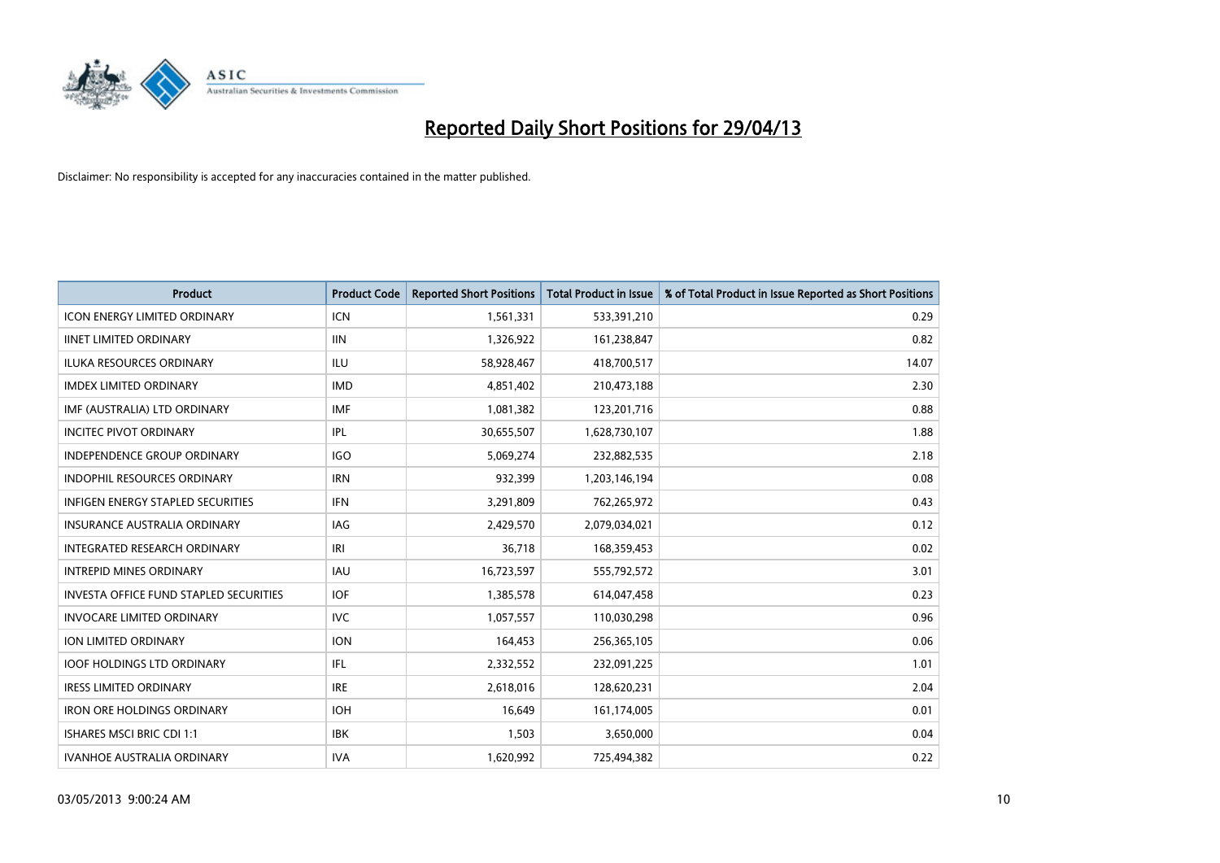

| <b>Product</b>                                | <b>Product Code</b> | <b>Reported Short Positions</b> | <b>Total Product in Issue</b> | % of Total Product in Issue Reported as Short Positions |
|-----------------------------------------------|---------------------|---------------------------------|-------------------------------|---------------------------------------------------------|
| <b>ICON ENERGY LIMITED ORDINARY</b>           | <b>ICN</b>          | 1,561,331                       | 533,391,210                   | 0.29                                                    |
| <b>IINET LIMITED ORDINARY</b>                 | <b>IIN</b>          | 1,326,922                       | 161,238,847                   | 0.82                                                    |
| <b>ILUKA RESOURCES ORDINARY</b>               | ILU                 | 58,928,467                      | 418,700,517                   | 14.07                                                   |
| <b>IMDEX LIMITED ORDINARY</b>                 | <b>IMD</b>          | 4,851,402                       | 210,473,188                   | 2.30                                                    |
| IMF (AUSTRALIA) LTD ORDINARY                  | <b>IMF</b>          | 1,081,382                       | 123,201,716                   | 0.88                                                    |
| <b>INCITEC PIVOT ORDINARY</b>                 | <b>IPL</b>          | 30,655,507                      | 1,628,730,107                 | 1.88                                                    |
| INDEPENDENCE GROUP ORDINARY                   | <b>IGO</b>          | 5,069,274                       | 232,882,535                   | 2.18                                                    |
| INDOPHIL RESOURCES ORDINARY                   | <b>IRN</b>          | 932,399                         | 1,203,146,194                 | 0.08                                                    |
| <b>INFIGEN ENERGY STAPLED SECURITIES</b>      | <b>IFN</b>          | 3,291,809                       | 762,265,972                   | 0.43                                                    |
| <b>INSURANCE AUSTRALIA ORDINARY</b>           | <b>IAG</b>          | 2,429,570                       | 2,079,034,021                 | 0.12                                                    |
| INTEGRATED RESEARCH ORDINARY                  | IRI                 | 36,718                          | 168,359,453                   | 0.02                                                    |
| <b>INTREPID MINES ORDINARY</b>                | <b>IAU</b>          | 16,723,597                      | 555,792,572                   | 3.01                                                    |
| <b>INVESTA OFFICE FUND STAPLED SECURITIES</b> | <b>IOF</b>          | 1,385,578                       | 614,047,458                   | 0.23                                                    |
| <b>INVOCARE LIMITED ORDINARY</b>              | <b>IVC</b>          | 1,057,557                       | 110,030,298                   | 0.96                                                    |
| <b>ION LIMITED ORDINARY</b>                   | <b>ION</b>          | 164,453                         | 256,365,105                   | 0.06                                                    |
| <b>IOOF HOLDINGS LTD ORDINARY</b>             | IFL                 | 2,332,552                       | 232,091,225                   | 1.01                                                    |
| <b>IRESS LIMITED ORDINARY</b>                 | <b>IRE</b>          | 2,618,016                       | 128,620,231                   | 2.04                                                    |
| <b>IRON ORE HOLDINGS ORDINARY</b>             | <b>IOH</b>          | 16,649                          | 161,174,005                   | 0.01                                                    |
| ISHARES MSCI BRIC CDI 1:1                     | <b>IBK</b>          | 1,503                           | 3,650,000                     | 0.04                                                    |
| <b>IVANHOE AUSTRALIA ORDINARY</b>             | <b>IVA</b>          | 1,620,992                       | 725,494,382                   | 0.22                                                    |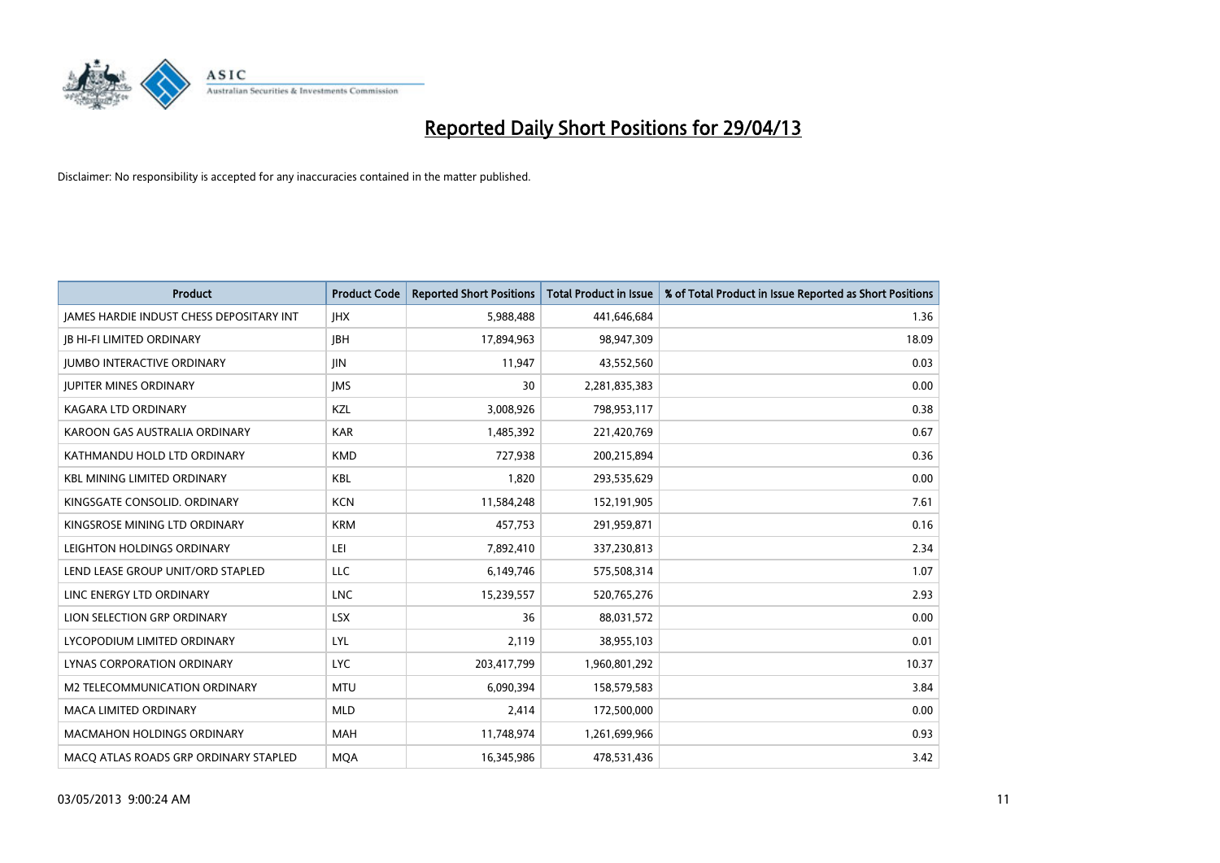

| Product                                         | <b>Product Code</b> | <b>Reported Short Positions</b> | <b>Total Product in Issue</b> | % of Total Product in Issue Reported as Short Positions |
|-------------------------------------------------|---------------------|---------------------------------|-------------------------------|---------------------------------------------------------|
| <b>IAMES HARDIE INDUST CHESS DEPOSITARY INT</b> | <b>IHX</b>          | 5,988,488                       | 441,646,684                   | 1.36                                                    |
| JB HI-FI LIMITED ORDINARY                       | <b>IBH</b>          | 17,894,963                      | 98,947,309                    | 18.09                                                   |
| <b>IUMBO INTERACTIVE ORDINARY</b>               | <b>IIN</b>          | 11,947                          | 43,552,560                    | 0.03                                                    |
| <b>JUPITER MINES ORDINARY</b>                   | <b>IMS</b>          | 30                              | 2,281,835,383                 | 0.00                                                    |
| <b>KAGARA LTD ORDINARY</b>                      | KZL                 | 3,008,926                       | 798,953,117                   | 0.38                                                    |
| KAROON GAS AUSTRALIA ORDINARY                   | <b>KAR</b>          | 1,485,392                       | 221,420,769                   | 0.67                                                    |
| KATHMANDU HOLD LTD ORDINARY                     | <b>KMD</b>          | 727,938                         | 200,215,894                   | 0.36                                                    |
| <b>KBL MINING LIMITED ORDINARY</b>              | <b>KBL</b>          | 1,820                           | 293,535,629                   | 0.00                                                    |
| KINGSGATE CONSOLID. ORDINARY                    | <b>KCN</b>          | 11,584,248                      | 152,191,905                   | 7.61                                                    |
| KINGSROSE MINING LTD ORDINARY                   | <b>KRM</b>          | 457,753                         | 291,959,871                   | 0.16                                                    |
| LEIGHTON HOLDINGS ORDINARY                      | LEI                 | 7,892,410                       | 337,230,813                   | 2.34                                                    |
| LEND LEASE GROUP UNIT/ORD STAPLED               | LLC                 | 6,149,746                       | 575,508,314                   | 1.07                                                    |
| LINC ENERGY LTD ORDINARY                        | <b>LNC</b>          | 15,239,557                      | 520,765,276                   | 2.93                                                    |
| LION SELECTION GRP ORDINARY                     | <b>LSX</b>          | 36                              | 88,031,572                    | 0.00                                                    |
| LYCOPODIUM LIMITED ORDINARY                     | LYL                 | 2.119                           | 38,955,103                    | 0.01                                                    |
| LYNAS CORPORATION ORDINARY                      | <b>LYC</b>          | 203,417,799                     | 1,960,801,292                 | 10.37                                                   |
| M2 TELECOMMUNICATION ORDINARY                   | MTU                 | 6,090,394                       | 158,579,583                   | 3.84                                                    |
| <b>MACA LIMITED ORDINARY</b>                    | <b>MLD</b>          | 2,414                           | 172,500,000                   | 0.00                                                    |
| <b>MACMAHON HOLDINGS ORDINARY</b>               | <b>MAH</b>          | 11,748,974                      | 1,261,699,966                 | 0.93                                                    |
| MACO ATLAS ROADS GRP ORDINARY STAPLED           | <b>MOA</b>          | 16,345,986                      | 478,531,436                   | 3.42                                                    |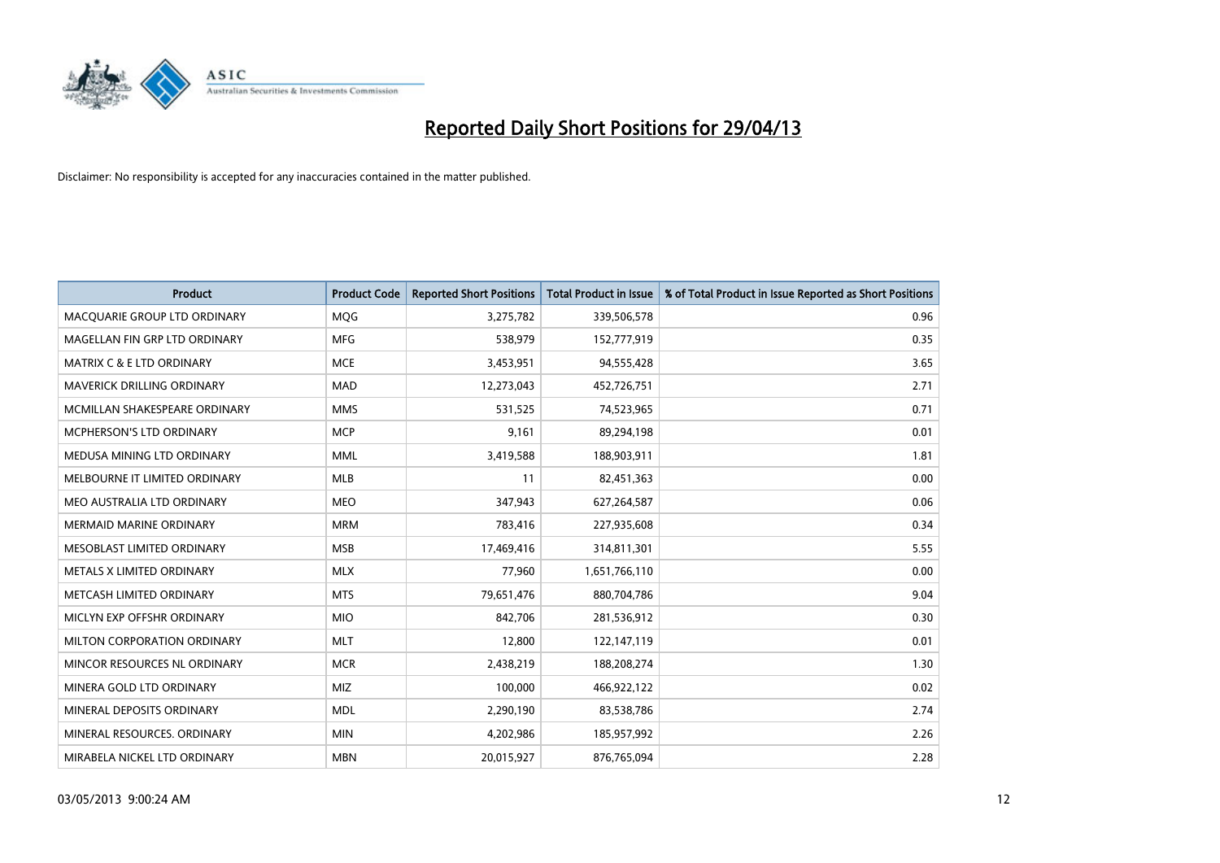

| <b>Product</b>                       | <b>Product Code</b> | <b>Reported Short Positions</b> | <b>Total Product in Issue</b> | % of Total Product in Issue Reported as Short Positions |
|--------------------------------------|---------------------|---------------------------------|-------------------------------|---------------------------------------------------------|
| MACQUARIE GROUP LTD ORDINARY         | MQG                 | 3,275,782                       | 339,506,578                   | 0.96                                                    |
| MAGELLAN FIN GRP LTD ORDINARY        | <b>MFG</b>          | 538,979                         | 152,777,919                   | 0.35                                                    |
| <b>MATRIX C &amp; E LTD ORDINARY</b> | <b>MCE</b>          | 3,453,951                       | 94,555,428                    | 3.65                                                    |
| MAVERICK DRILLING ORDINARY           | <b>MAD</b>          | 12,273,043                      | 452,726,751                   | 2.71                                                    |
| MCMILLAN SHAKESPEARE ORDINARY        | <b>MMS</b>          | 531,525                         | 74,523,965                    | 0.71                                                    |
| <b>MCPHERSON'S LTD ORDINARY</b>      | <b>MCP</b>          | 9,161                           | 89,294,198                    | 0.01                                                    |
| MEDUSA MINING LTD ORDINARY           | MML                 | 3,419,588                       | 188,903,911                   | 1.81                                                    |
| MELBOURNE IT LIMITED ORDINARY        | <b>MLB</b>          | 11                              | 82,451,363                    | 0.00                                                    |
| MEO AUSTRALIA LTD ORDINARY           | <b>MEO</b>          | 347,943                         | 627,264,587                   | 0.06                                                    |
| <b>MERMAID MARINE ORDINARY</b>       | <b>MRM</b>          | 783,416                         | 227,935,608                   | 0.34                                                    |
| MESOBLAST LIMITED ORDINARY           | <b>MSB</b>          | 17,469,416                      | 314,811,301                   | 5.55                                                    |
| METALS X LIMITED ORDINARY            | <b>MLX</b>          | 77,960                          | 1,651,766,110                 | 0.00                                                    |
| METCASH LIMITED ORDINARY             | <b>MTS</b>          | 79,651,476                      | 880,704,786                   | 9.04                                                    |
| MICLYN EXP OFFSHR ORDINARY           | <b>MIO</b>          | 842,706                         | 281,536,912                   | 0.30                                                    |
| MILTON CORPORATION ORDINARY          | <b>MLT</b>          | 12,800                          | 122,147,119                   | 0.01                                                    |
| MINCOR RESOURCES NL ORDINARY         | <b>MCR</b>          | 2,438,219                       | 188,208,274                   | 1.30                                                    |
| MINERA GOLD LTD ORDINARY             | <b>MIZ</b>          | 100,000                         | 466,922,122                   | 0.02                                                    |
| MINERAL DEPOSITS ORDINARY            | <b>MDL</b>          | 2,290,190                       | 83,538,786                    | 2.74                                                    |
| MINERAL RESOURCES, ORDINARY          | <b>MIN</b>          | 4,202,986                       | 185,957,992                   | 2.26                                                    |
| MIRABELA NICKEL LTD ORDINARY         | <b>MBN</b>          | 20,015,927                      | 876,765,094                   | 2.28                                                    |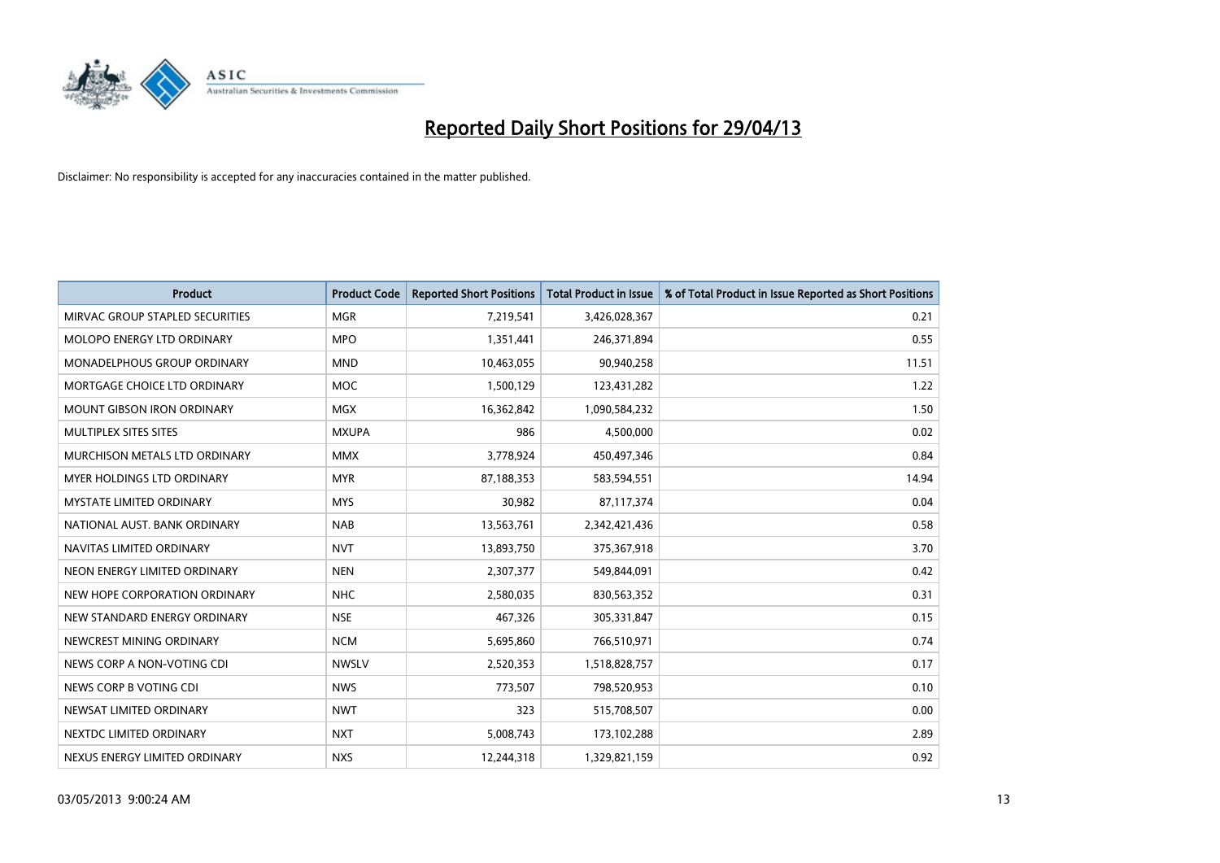

| <b>Product</b>                     | <b>Product Code</b> | <b>Reported Short Positions</b> | <b>Total Product in Issue</b> | % of Total Product in Issue Reported as Short Positions |
|------------------------------------|---------------------|---------------------------------|-------------------------------|---------------------------------------------------------|
| MIRVAC GROUP STAPLED SECURITIES    | <b>MGR</b>          | 7,219,541                       | 3,426,028,367                 | 0.21                                                    |
| MOLOPO ENERGY LTD ORDINARY         | <b>MPO</b>          | 1,351,441                       | 246,371,894                   | 0.55                                                    |
| <b>MONADELPHOUS GROUP ORDINARY</b> | <b>MND</b>          | 10,463,055                      | 90,940,258                    | 11.51                                                   |
| MORTGAGE CHOICE LTD ORDINARY       | <b>MOC</b>          | 1,500,129                       | 123,431,282                   | 1.22                                                    |
| <b>MOUNT GIBSON IRON ORDINARY</b>  | <b>MGX</b>          | 16,362,842                      | 1,090,584,232                 | 1.50                                                    |
| MULTIPLEX SITES SITES              | <b>MXUPA</b>        | 986                             | 4,500,000                     | 0.02                                                    |
| MURCHISON METALS LTD ORDINARY      | <b>MMX</b>          | 3,778,924                       | 450,497,346                   | 0.84                                                    |
| MYER HOLDINGS LTD ORDINARY         | <b>MYR</b>          | 87,188,353                      | 583,594,551                   | 14.94                                                   |
| MYSTATE LIMITED ORDINARY           | <b>MYS</b>          | 30,982                          | 87,117,374                    | 0.04                                                    |
| NATIONAL AUST, BANK ORDINARY       | <b>NAB</b>          | 13,563,761                      | 2,342,421,436                 | 0.58                                                    |
| NAVITAS LIMITED ORDINARY           | <b>NVT</b>          | 13,893,750                      | 375,367,918                   | 3.70                                                    |
| NEON ENERGY LIMITED ORDINARY       | <b>NEN</b>          | 2,307,377                       | 549,844,091                   | 0.42                                                    |
| NEW HOPE CORPORATION ORDINARY      | <b>NHC</b>          | 2,580,035                       | 830,563,352                   | 0.31                                                    |
| NEW STANDARD ENERGY ORDINARY       | <b>NSE</b>          | 467,326                         | 305,331,847                   | 0.15                                                    |
| NEWCREST MINING ORDINARY           | <b>NCM</b>          | 5,695,860                       | 766,510,971                   | 0.74                                                    |
| NEWS CORP A NON-VOTING CDI         | <b>NWSLV</b>        | 2,520,353                       | 1,518,828,757                 | 0.17                                                    |
| NEWS CORP B VOTING CDI             | <b>NWS</b>          | 773,507                         | 798,520,953                   | 0.10                                                    |
| NEWSAT LIMITED ORDINARY            | <b>NWT</b>          | 323                             | 515,708,507                   | 0.00                                                    |
| NEXTDC LIMITED ORDINARY            | <b>NXT</b>          | 5,008,743                       | 173,102,288                   | 2.89                                                    |
| NEXUS ENERGY LIMITED ORDINARY      | <b>NXS</b>          | 12,244,318                      | 1,329,821,159                 | 0.92                                                    |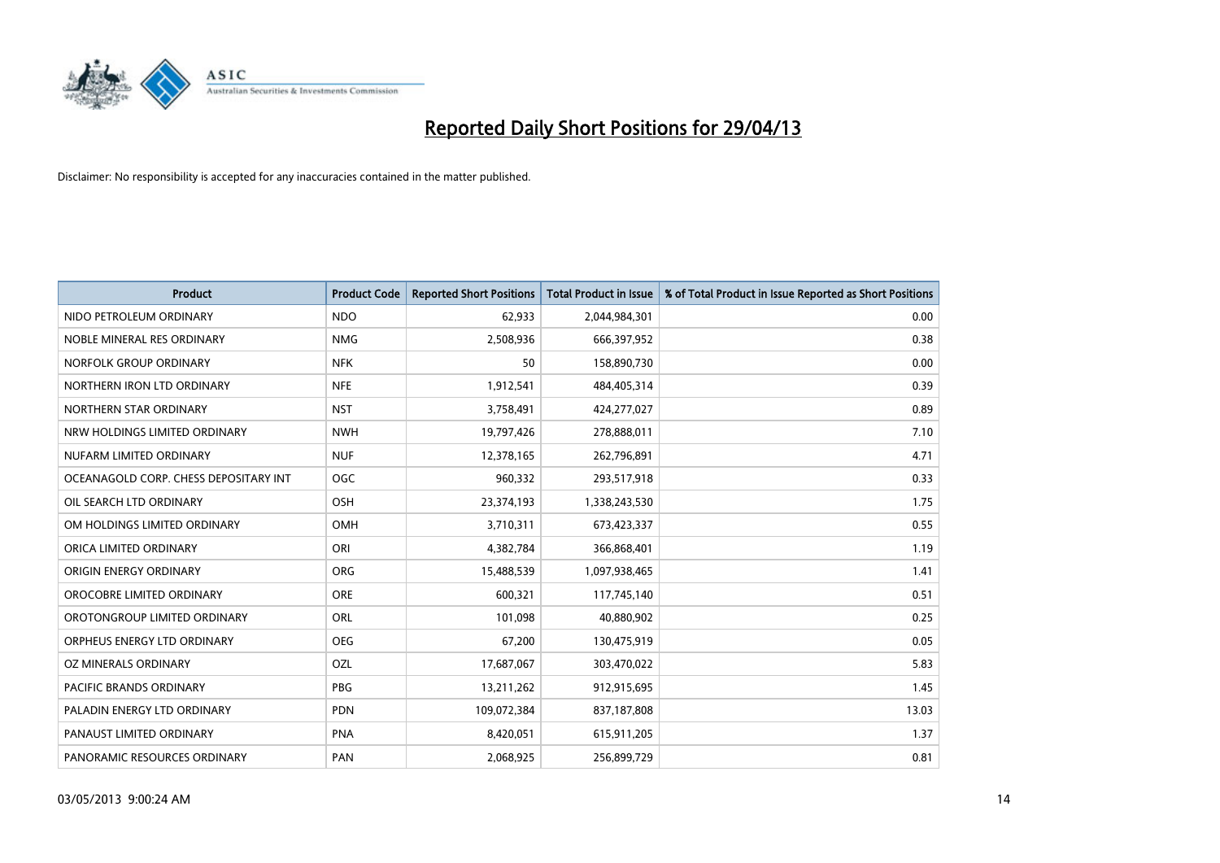

| <b>Product</b>                        | <b>Product Code</b> | <b>Reported Short Positions</b> | <b>Total Product in Issue</b> | % of Total Product in Issue Reported as Short Positions |
|---------------------------------------|---------------------|---------------------------------|-------------------------------|---------------------------------------------------------|
| NIDO PETROLEUM ORDINARY               | <b>NDO</b>          | 62,933                          | 2,044,984,301                 | 0.00                                                    |
| NOBLE MINERAL RES ORDINARY            | <b>NMG</b>          | 2,508,936                       | 666,397,952                   | 0.38                                                    |
| NORFOLK GROUP ORDINARY                | <b>NFK</b>          | 50                              | 158,890,730                   | 0.00                                                    |
| NORTHERN IRON LTD ORDINARY            | <b>NFE</b>          | 1,912,541                       | 484,405,314                   | 0.39                                                    |
| NORTHERN STAR ORDINARY                | <b>NST</b>          | 3,758,491                       | 424,277,027                   | 0.89                                                    |
| NRW HOLDINGS LIMITED ORDINARY         | <b>NWH</b>          | 19,797,426                      | 278,888,011                   | 7.10                                                    |
| NUFARM LIMITED ORDINARY               | <b>NUF</b>          | 12,378,165                      | 262,796,891                   | 4.71                                                    |
| OCEANAGOLD CORP. CHESS DEPOSITARY INT | <b>OGC</b>          | 960,332                         | 293,517,918                   | 0.33                                                    |
| OIL SEARCH LTD ORDINARY               | OSH                 | 23,374,193                      | 1,338,243,530                 | 1.75                                                    |
| OM HOLDINGS LIMITED ORDINARY          | <b>OMH</b>          | 3,710,311                       | 673,423,337                   | 0.55                                                    |
| ORICA LIMITED ORDINARY                | ORI                 | 4,382,784                       | 366,868,401                   | 1.19                                                    |
| ORIGIN ENERGY ORDINARY                | <b>ORG</b>          | 15,488,539                      | 1,097,938,465                 | 1.41                                                    |
| OROCOBRE LIMITED ORDINARY             | <b>ORE</b>          | 600,321                         | 117,745,140                   | 0.51                                                    |
| OROTONGROUP LIMITED ORDINARY          | ORL                 | 101,098                         | 40,880,902                    | 0.25                                                    |
| ORPHEUS ENERGY LTD ORDINARY           | <b>OEG</b>          | 67,200                          | 130,475,919                   | 0.05                                                    |
| OZ MINERALS ORDINARY                  | OZL                 | 17,687,067                      | 303,470,022                   | 5.83                                                    |
| PACIFIC BRANDS ORDINARY               | PBG                 | 13,211,262                      | 912,915,695                   | 1.45                                                    |
| PALADIN ENERGY LTD ORDINARY           | <b>PDN</b>          | 109,072,384                     | 837,187,808                   | 13.03                                                   |
| PANAUST LIMITED ORDINARY              | <b>PNA</b>          | 8,420,051                       | 615,911,205                   | 1.37                                                    |
| PANORAMIC RESOURCES ORDINARY          | PAN                 | 2,068,925                       | 256,899,729                   | 0.81                                                    |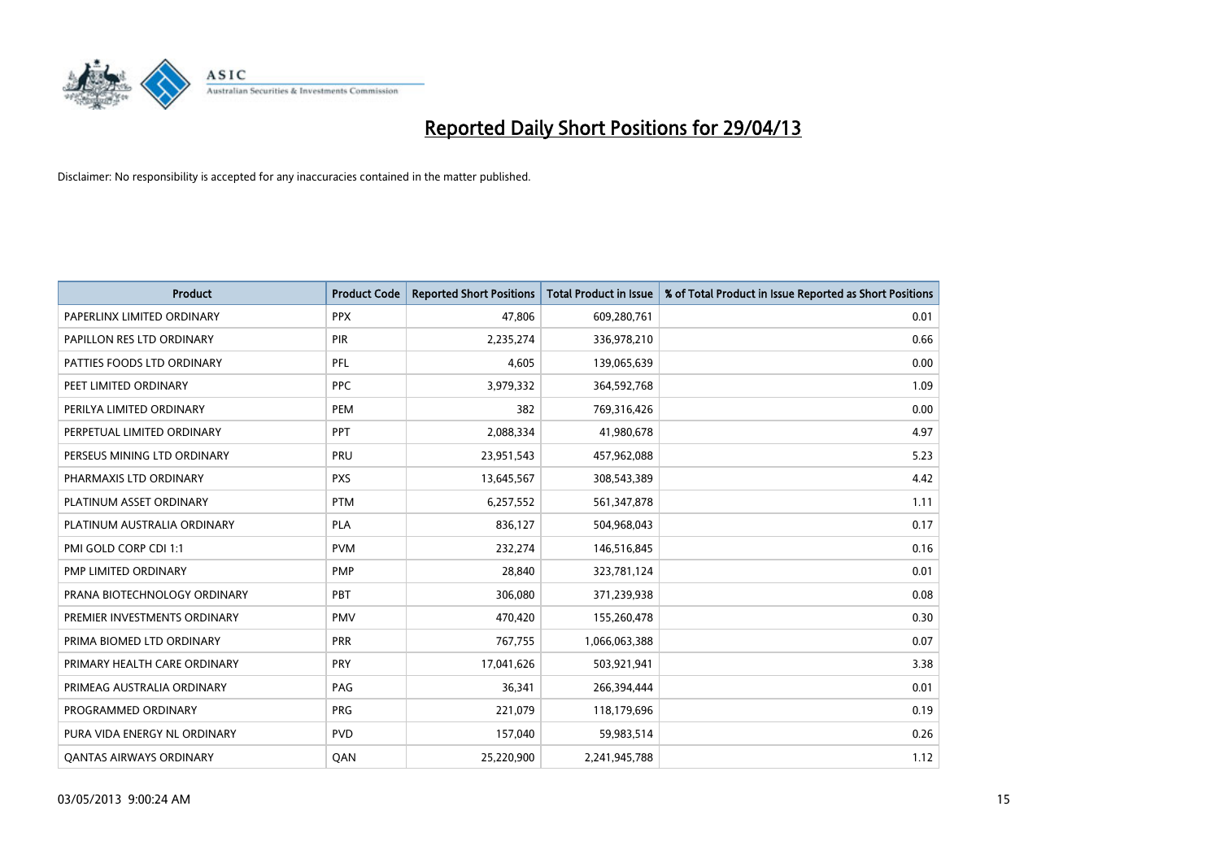

| <b>Product</b>                 | <b>Product Code</b> | <b>Reported Short Positions</b> | <b>Total Product in Issue</b> | % of Total Product in Issue Reported as Short Positions |
|--------------------------------|---------------------|---------------------------------|-------------------------------|---------------------------------------------------------|
| PAPERLINX LIMITED ORDINARY     | <b>PPX</b>          | 47,806                          | 609,280,761                   | 0.01                                                    |
| PAPILLON RES LTD ORDINARY      | <b>PIR</b>          | 2,235,274                       | 336,978,210                   | 0.66                                                    |
| PATTIES FOODS LTD ORDINARY     | PFL                 | 4,605                           | 139,065,639                   | 0.00                                                    |
| PEET LIMITED ORDINARY          | <b>PPC</b>          | 3,979,332                       | 364,592,768                   | 1.09                                                    |
| PERILYA LIMITED ORDINARY       | PEM                 | 382                             | 769,316,426                   | 0.00                                                    |
| PERPETUAL LIMITED ORDINARY     | PPT                 | 2,088,334                       | 41,980,678                    | 4.97                                                    |
| PERSEUS MINING LTD ORDINARY    | <b>PRU</b>          | 23,951,543                      | 457,962,088                   | 5.23                                                    |
| PHARMAXIS LTD ORDINARY         | <b>PXS</b>          | 13,645,567                      | 308,543,389                   | 4.42                                                    |
| PLATINUM ASSET ORDINARY        | <b>PTM</b>          | 6,257,552                       | 561,347,878                   | 1.11                                                    |
| PLATINUM AUSTRALIA ORDINARY    | <b>PLA</b>          | 836,127                         | 504,968,043                   | 0.17                                                    |
| PMI GOLD CORP CDI 1:1          | <b>PVM</b>          | 232,274                         | 146,516,845                   | 0.16                                                    |
| PMP LIMITED ORDINARY           | <b>PMP</b>          | 28,840                          | 323,781,124                   | 0.01                                                    |
| PRANA BIOTECHNOLOGY ORDINARY   | <b>PBT</b>          | 306,080                         | 371,239,938                   | 0.08                                                    |
| PREMIER INVESTMENTS ORDINARY   | <b>PMV</b>          | 470,420                         | 155,260,478                   | 0.30                                                    |
| PRIMA BIOMED LTD ORDINARY      | <b>PRR</b>          | 767,755                         | 1,066,063,388                 | 0.07                                                    |
| PRIMARY HEALTH CARE ORDINARY   | <b>PRY</b>          | 17,041,626                      | 503,921,941                   | 3.38                                                    |
| PRIMEAG AUSTRALIA ORDINARY     | PAG                 | 36,341                          | 266,394,444                   | 0.01                                                    |
| PROGRAMMED ORDINARY            | <b>PRG</b>          | 221,079                         | 118,179,696                   | 0.19                                                    |
| PURA VIDA ENERGY NL ORDINARY   | <b>PVD</b>          | 157,040                         | 59,983,514                    | 0.26                                                    |
| <b>QANTAS AIRWAYS ORDINARY</b> | QAN                 | 25,220,900                      | 2,241,945,788                 | 1.12                                                    |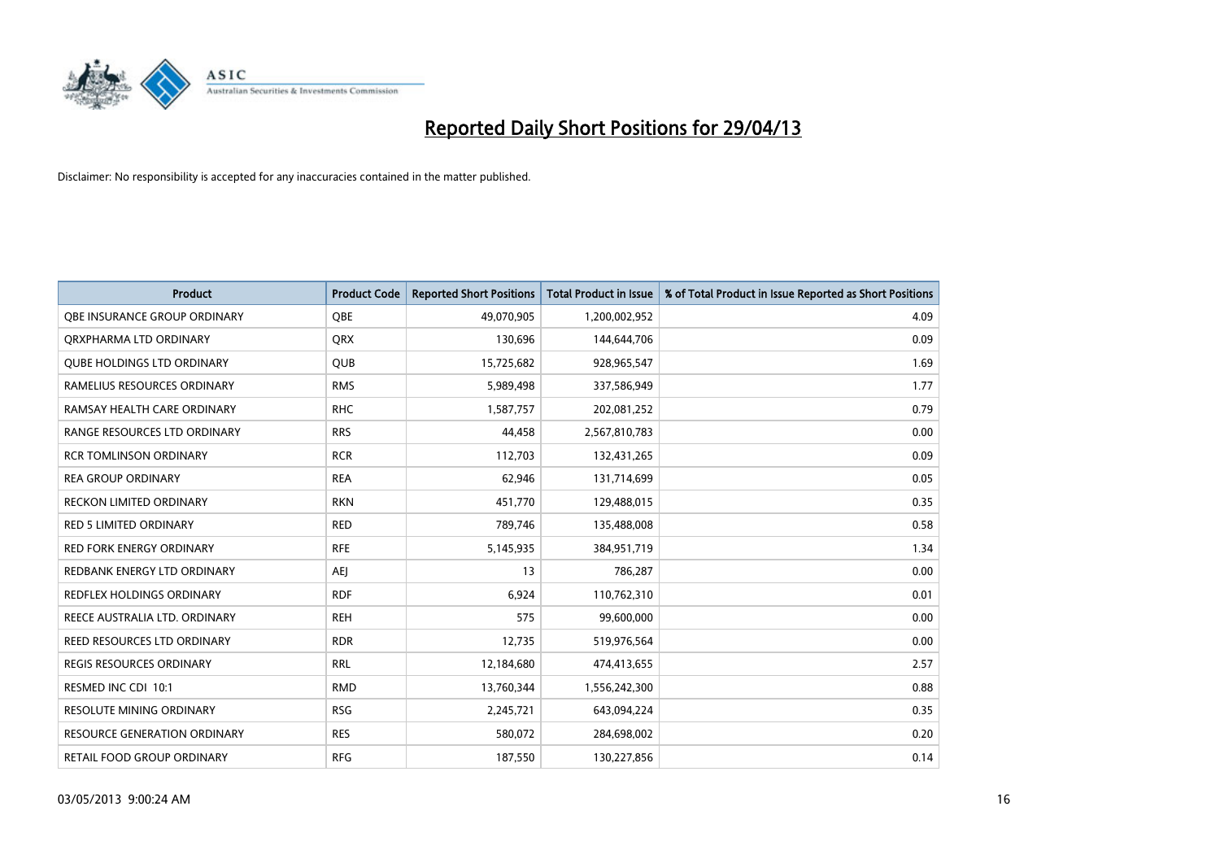

| <b>Product</b>                      | <b>Product Code</b> | <b>Reported Short Positions</b> | <b>Total Product in Issue</b> | % of Total Product in Issue Reported as Short Positions |
|-------------------------------------|---------------------|---------------------------------|-------------------------------|---------------------------------------------------------|
| OBE INSURANCE GROUP ORDINARY        | <b>OBE</b>          | 49,070,905                      | 1,200,002,952                 | 4.09                                                    |
| ORXPHARMA LTD ORDINARY              | QRX                 | 130,696                         | 144,644,706                   | 0.09                                                    |
| <b>QUBE HOLDINGS LTD ORDINARY</b>   | QUB                 | 15,725,682                      | 928,965,547                   | 1.69                                                    |
| RAMELIUS RESOURCES ORDINARY         | <b>RMS</b>          | 5,989,498                       | 337,586,949                   | 1.77                                                    |
| RAMSAY HEALTH CARE ORDINARY         | <b>RHC</b>          | 1,587,757                       | 202,081,252                   | 0.79                                                    |
| RANGE RESOURCES LTD ORDINARY        | <b>RRS</b>          | 44,458                          | 2,567,810,783                 | 0.00                                                    |
| <b>RCR TOMLINSON ORDINARY</b>       | <b>RCR</b>          | 112,703                         | 132,431,265                   | 0.09                                                    |
| <b>REA GROUP ORDINARY</b>           | <b>REA</b>          | 62,946                          | 131,714,699                   | 0.05                                                    |
| <b>RECKON LIMITED ORDINARY</b>      | <b>RKN</b>          | 451,770                         | 129,488,015                   | 0.35                                                    |
| <b>RED 5 LIMITED ORDINARY</b>       | <b>RED</b>          | 789,746                         | 135,488,008                   | 0.58                                                    |
| RED FORK ENERGY ORDINARY            | <b>RFE</b>          | 5,145,935                       | 384,951,719                   | 1.34                                                    |
| REDBANK ENERGY LTD ORDINARY         | <b>AEJ</b>          | 13                              | 786,287                       | 0.00                                                    |
| REDFLEX HOLDINGS ORDINARY           | <b>RDF</b>          | 6,924                           | 110,762,310                   | 0.01                                                    |
| REECE AUSTRALIA LTD. ORDINARY       | <b>REH</b>          | 575                             | 99,600,000                    | 0.00                                                    |
| REED RESOURCES LTD ORDINARY         | <b>RDR</b>          | 12,735                          | 519,976,564                   | 0.00                                                    |
| REGIS RESOURCES ORDINARY            | <b>RRL</b>          | 12,184,680                      | 474,413,655                   | 2.57                                                    |
| RESMED INC CDI 10:1                 | <b>RMD</b>          | 13,760,344                      | 1,556,242,300                 | 0.88                                                    |
| <b>RESOLUTE MINING ORDINARY</b>     | <b>RSG</b>          | 2,245,721                       | 643,094,224                   | 0.35                                                    |
| <b>RESOURCE GENERATION ORDINARY</b> | <b>RES</b>          | 580,072                         | 284,698,002                   | 0.20                                                    |
| RETAIL FOOD GROUP ORDINARY          | <b>RFG</b>          | 187,550                         | 130,227,856                   | 0.14                                                    |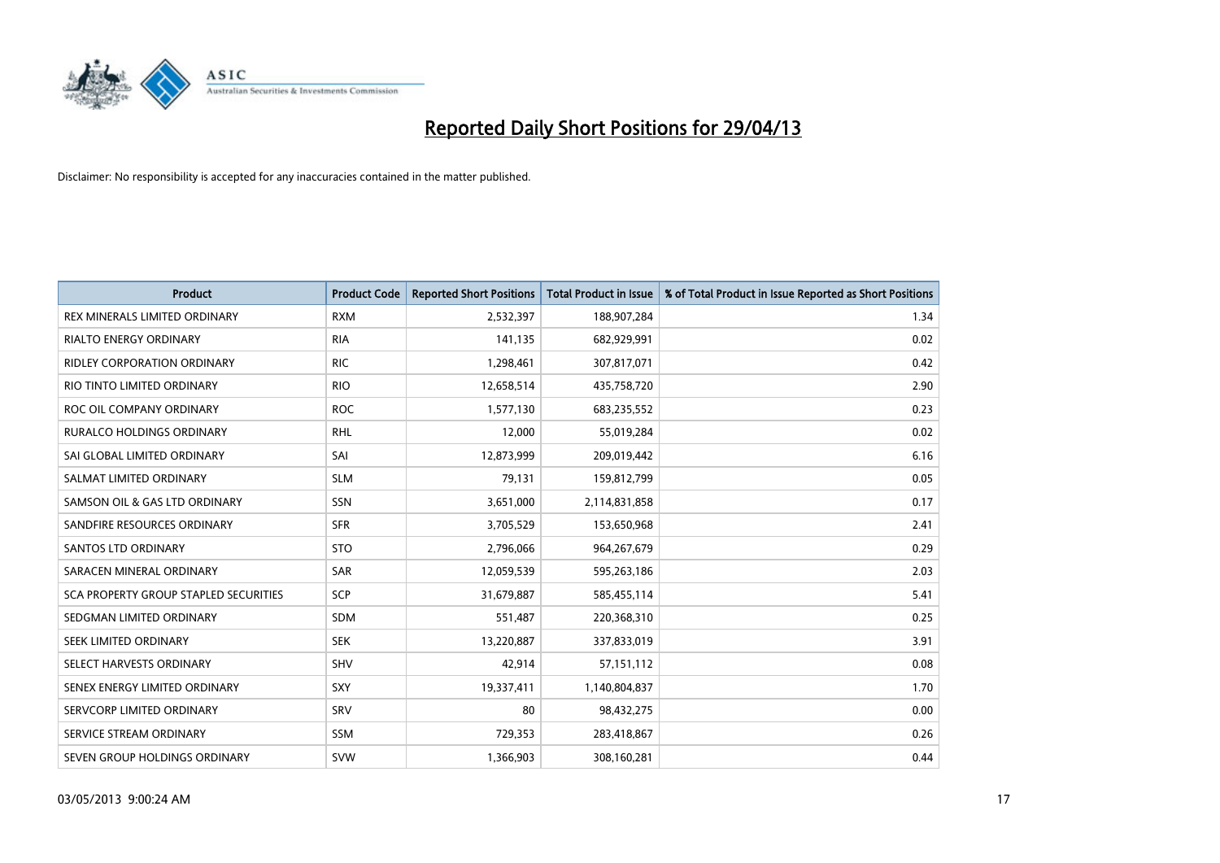

| <b>Product</b>                               | <b>Product Code</b> | <b>Reported Short Positions</b> | <b>Total Product in Issue</b> | % of Total Product in Issue Reported as Short Positions |
|----------------------------------------------|---------------------|---------------------------------|-------------------------------|---------------------------------------------------------|
| <b>REX MINERALS LIMITED ORDINARY</b>         | <b>RXM</b>          | 2,532,397                       | 188,907,284                   | 1.34                                                    |
| <b>RIALTO ENERGY ORDINARY</b>                | <b>RIA</b>          | 141,135                         | 682,929,991                   | 0.02                                                    |
| <b>RIDLEY CORPORATION ORDINARY</b>           | <b>RIC</b>          | 1,298,461                       | 307,817,071                   | 0.42                                                    |
| RIO TINTO LIMITED ORDINARY                   | <b>RIO</b>          | 12,658,514                      | 435,758,720                   | 2.90                                                    |
| ROC OIL COMPANY ORDINARY                     | <b>ROC</b>          | 1,577,130                       | 683,235,552                   | 0.23                                                    |
| <b>RURALCO HOLDINGS ORDINARY</b>             | <b>RHL</b>          | 12,000                          | 55,019,284                    | 0.02                                                    |
| SAI GLOBAL LIMITED ORDINARY                  | SAI                 | 12,873,999                      | 209,019,442                   | 6.16                                                    |
| SALMAT LIMITED ORDINARY                      | <b>SLM</b>          | 79,131                          | 159,812,799                   | 0.05                                                    |
| SAMSON OIL & GAS LTD ORDINARY                | SSN                 | 3,651,000                       | 2,114,831,858                 | 0.17                                                    |
| SANDFIRE RESOURCES ORDINARY                  | <b>SFR</b>          | 3,705,529                       | 153,650,968                   | 2.41                                                    |
| <b>SANTOS LTD ORDINARY</b>                   | <b>STO</b>          | 2,796,066                       | 964,267,679                   | 0.29                                                    |
| SARACEN MINERAL ORDINARY                     | SAR                 | 12,059,539                      | 595,263,186                   | 2.03                                                    |
| <b>SCA PROPERTY GROUP STAPLED SECURITIES</b> | <b>SCP</b>          | 31,679,887                      | 585,455,114                   | 5.41                                                    |
| SEDGMAN LIMITED ORDINARY                     | <b>SDM</b>          | 551,487                         | 220,368,310                   | 0.25                                                    |
| SEEK LIMITED ORDINARY                        | <b>SEK</b>          | 13,220,887                      | 337,833,019                   | 3.91                                                    |
| SELECT HARVESTS ORDINARY                     | SHV                 | 42,914                          | 57,151,112                    | 0.08                                                    |
| SENEX ENERGY LIMITED ORDINARY                | SXY                 | 19,337,411                      | 1,140,804,837                 | 1.70                                                    |
| SERVCORP LIMITED ORDINARY                    | SRV                 | 80                              | 98,432,275                    | 0.00                                                    |
| SERVICE STREAM ORDINARY                      | <b>SSM</b>          | 729,353                         | 283,418,867                   | 0.26                                                    |
| SEVEN GROUP HOLDINGS ORDINARY                | <b>SVW</b>          | 1,366,903                       | 308,160,281                   | 0.44                                                    |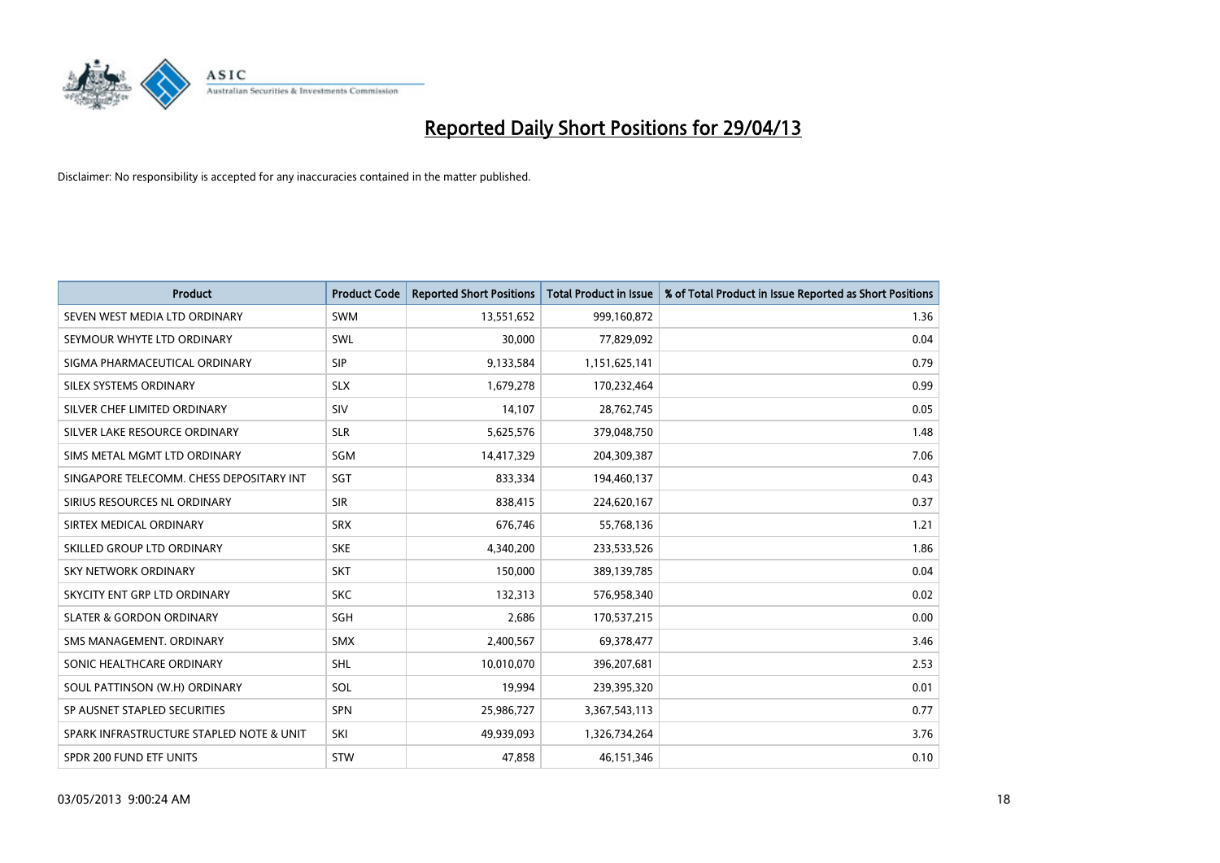

| <b>Product</b>                           | <b>Product Code</b> | <b>Reported Short Positions</b> | <b>Total Product in Issue</b> | % of Total Product in Issue Reported as Short Positions |
|------------------------------------------|---------------------|---------------------------------|-------------------------------|---------------------------------------------------------|
| SEVEN WEST MEDIA LTD ORDINARY            | <b>SWM</b>          | 13,551,652                      | 999,160,872                   | 1.36                                                    |
| SEYMOUR WHYTE LTD ORDINARY               | SWL                 | 30,000                          | 77,829,092                    | 0.04                                                    |
| SIGMA PHARMACEUTICAL ORDINARY            | <b>SIP</b>          | 9,133,584                       | 1,151,625,141                 | 0.79                                                    |
| SILEX SYSTEMS ORDINARY                   | <b>SLX</b>          | 1,679,278                       | 170,232,464                   | 0.99                                                    |
| SILVER CHEF LIMITED ORDINARY             | SIV                 | 14,107                          | 28,762,745                    | 0.05                                                    |
| SILVER LAKE RESOURCE ORDINARY            | <b>SLR</b>          | 5,625,576                       | 379,048,750                   | 1.48                                                    |
| SIMS METAL MGMT LTD ORDINARY             | SGM                 | 14,417,329                      | 204,309,387                   | 7.06                                                    |
| SINGAPORE TELECOMM. CHESS DEPOSITARY INT | SGT                 | 833,334                         | 194,460,137                   | 0.43                                                    |
| SIRIUS RESOURCES NL ORDINARY             | <b>SIR</b>          | 838,415                         | 224,620,167                   | 0.37                                                    |
| SIRTEX MEDICAL ORDINARY                  | <b>SRX</b>          | 676,746                         | 55,768,136                    | 1.21                                                    |
| SKILLED GROUP LTD ORDINARY               | <b>SKE</b>          | 4,340,200                       | 233,533,526                   | 1.86                                                    |
| <b>SKY NETWORK ORDINARY</b>              | <b>SKT</b>          | 150,000                         | 389,139,785                   | 0.04                                                    |
| SKYCITY ENT GRP LTD ORDINARY             | <b>SKC</b>          | 132,313                         | 576,958,340                   | 0.02                                                    |
| <b>SLATER &amp; GORDON ORDINARY</b>      | SGH                 | 2,686                           | 170,537,215                   | 0.00                                                    |
| SMS MANAGEMENT, ORDINARY                 | <b>SMX</b>          | 2,400,567                       | 69,378,477                    | 3.46                                                    |
| SONIC HEALTHCARE ORDINARY                | SHL                 | 10,010,070                      | 396,207,681                   | 2.53                                                    |
| SOUL PATTINSON (W.H) ORDINARY            | SOL                 | 19,994                          | 239,395,320                   | 0.01                                                    |
| SP AUSNET STAPLED SECURITIES             | <b>SPN</b>          | 25,986,727                      | 3,367,543,113                 | 0.77                                                    |
| SPARK INFRASTRUCTURE STAPLED NOTE & UNIT | SKI                 | 49,939,093                      | 1,326,734,264                 | 3.76                                                    |
| SPDR 200 FUND ETF UNITS                  | <b>STW</b>          | 47,858                          | 46,151,346                    | 0.10                                                    |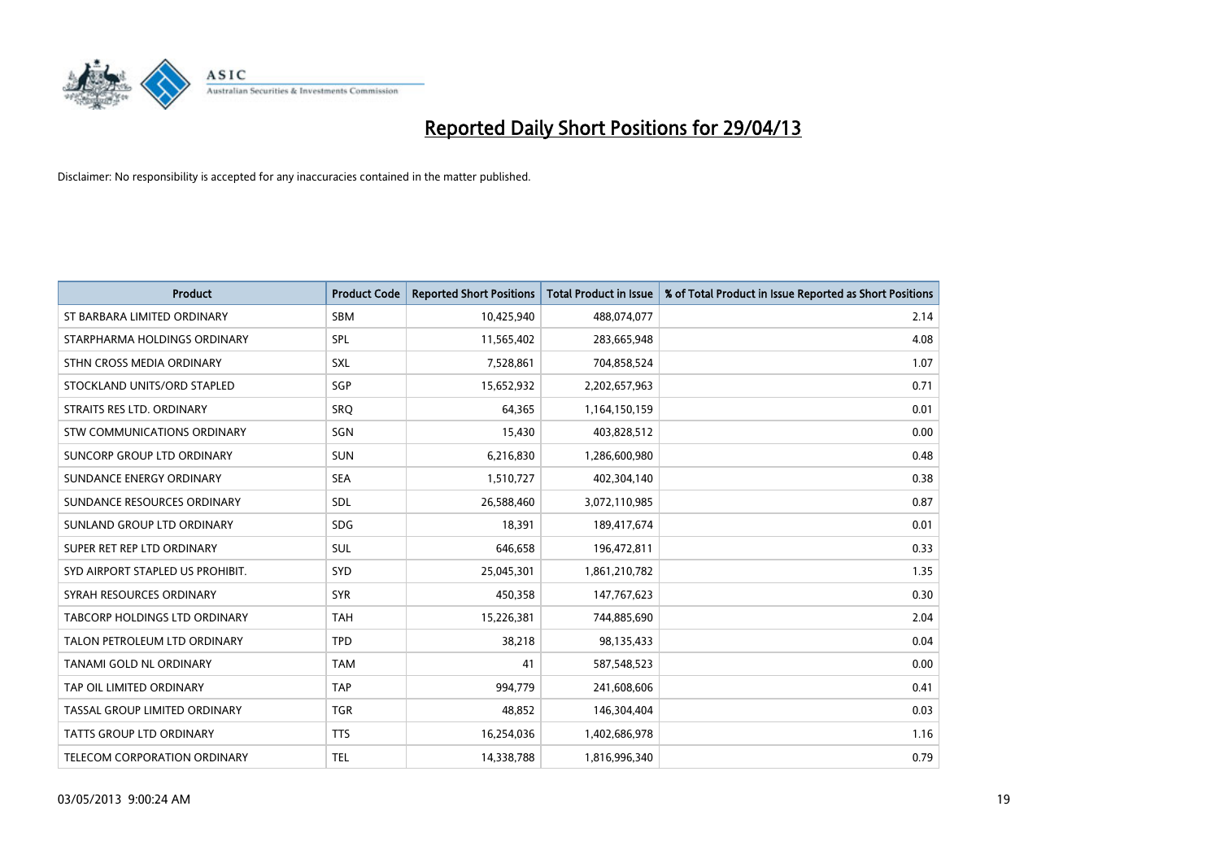

| <b>Product</b>                     | <b>Product Code</b> | <b>Reported Short Positions</b> | <b>Total Product in Issue</b> | % of Total Product in Issue Reported as Short Positions |
|------------------------------------|---------------------|---------------------------------|-------------------------------|---------------------------------------------------------|
| ST BARBARA LIMITED ORDINARY        | <b>SBM</b>          | 10,425,940                      | 488,074,077                   | 2.14                                                    |
| STARPHARMA HOLDINGS ORDINARY       | SPL                 | 11,565,402                      | 283,665,948                   | 4.08                                                    |
| STHN CROSS MEDIA ORDINARY          | <b>SXL</b>          | 7,528,861                       | 704,858,524                   | 1.07                                                    |
| STOCKLAND UNITS/ORD STAPLED        | <b>SGP</b>          | 15,652,932                      | 2,202,657,963                 | 0.71                                                    |
| STRAITS RES LTD. ORDINARY          | SRO                 | 64,365                          | 1,164,150,159                 | 0.01                                                    |
| <b>STW COMMUNICATIONS ORDINARY</b> | SGN                 | 15,430                          | 403,828,512                   | 0.00                                                    |
| SUNCORP GROUP LTD ORDINARY         | <b>SUN</b>          | 6,216,830                       | 1,286,600,980                 | 0.48                                                    |
| SUNDANCE ENERGY ORDINARY           | <b>SEA</b>          | 1,510,727                       | 402,304,140                   | 0.38                                                    |
| SUNDANCE RESOURCES ORDINARY        | SDL                 | 26,588,460                      | 3,072,110,985                 | 0.87                                                    |
| SUNLAND GROUP LTD ORDINARY         | <b>SDG</b>          | 18,391                          | 189,417,674                   | 0.01                                                    |
| SUPER RET REP LTD ORDINARY         | <b>SUL</b>          | 646,658                         | 196,472,811                   | 0.33                                                    |
| SYD AIRPORT STAPLED US PROHIBIT.   | SYD                 | 25,045,301                      | 1,861,210,782                 | 1.35                                                    |
| SYRAH RESOURCES ORDINARY           | <b>SYR</b>          | 450,358                         | 147,767,623                   | 0.30                                                    |
| TABCORP HOLDINGS LTD ORDINARY      | <b>TAH</b>          | 15,226,381                      | 744,885,690                   | 2.04                                                    |
| TALON PETROLEUM LTD ORDINARY       | <b>TPD</b>          | 38,218                          | 98,135,433                    | 0.04                                                    |
| TANAMI GOLD NL ORDINARY            | <b>TAM</b>          | 41                              | 587,548,523                   | 0.00                                                    |
| TAP OIL LIMITED ORDINARY           | <b>TAP</b>          | 994,779                         | 241,608,606                   | 0.41                                                    |
| TASSAL GROUP LIMITED ORDINARY      | <b>TGR</b>          | 48,852                          | 146,304,404                   | 0.03                                                    |
| <b>TATTS GROUP LTD ORDINARY</b>    | <b>TTS</b>          | 16,254,036                      | 1,402,686,978                 | 1.16                                                    |
| TELECOM CORPORATION ORDINARY       | <b>TEL</b>          | 14,338,788                      | 1,816,996,340                 | 0.79                                                    |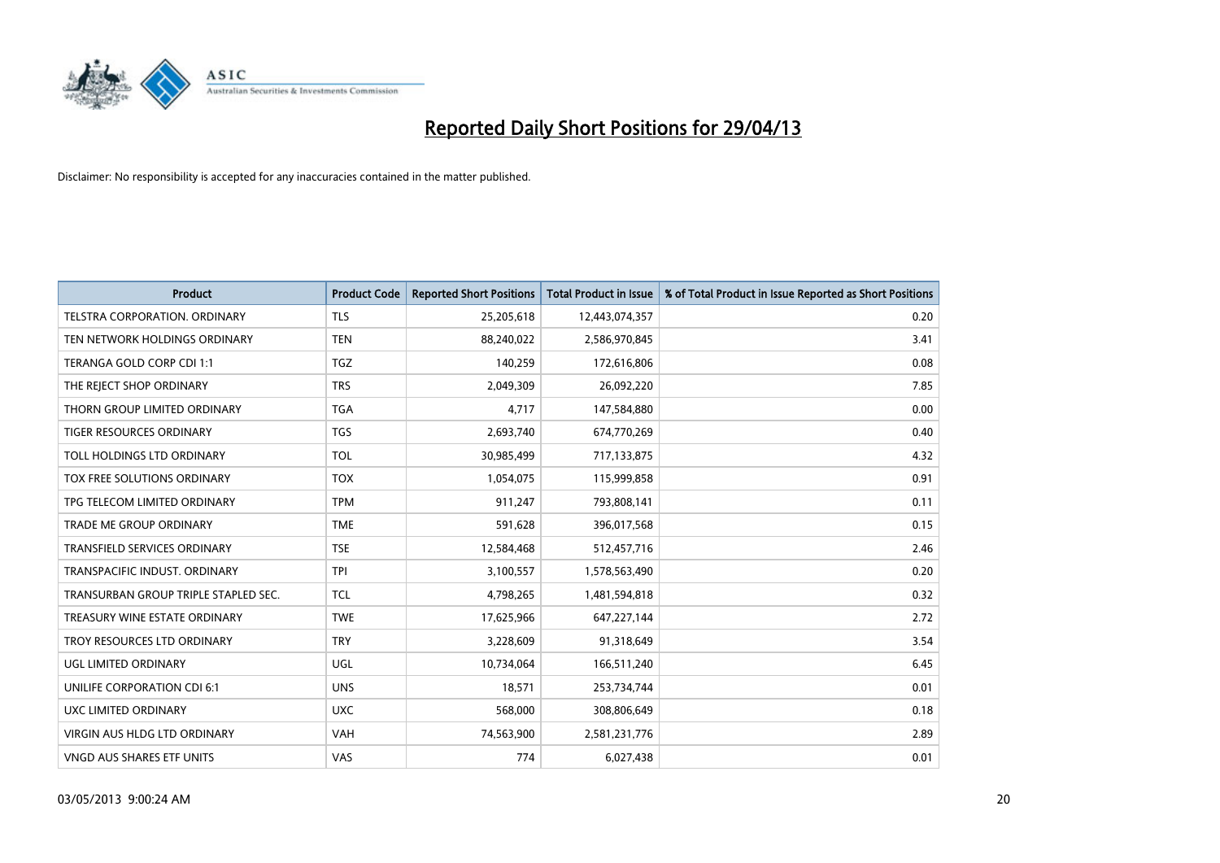

| <b>Product</b>                       | <b>Product Code</b> | <b>Reported Short Positions</b> | <b>Total Product in Issue</b> | % of Total Product in Issue Reported as Short Positions |
|--------------------------------------|---------------------|---------------------------------|-------------------------------|---------------------------------------------------------|
| <b>TELSTRA CORPORATION, ORDINARY</b> | <b>TLS</b>          | 25,205,618                      | 12,443,074,357                | 0.20                                                    |
| TEN NETWORK HOLDINGS ORDINARY        | <b>TEN</b>          | 88,240,022                      | 2,586,970,845                 | 3.41                                                    |
| TERANGA GOLD CORP CDI 1:1            | <b>TGZ</b>          | 140,259                         | 172,616,806                   | 0.08                                                    |
| THE REJECT SHOP ORDINARY             | <b>TRS</b>          | 2,049,309                       | 26,092,220                    | 7.85                                                    |
| THORN GROUP LIMITED ORDINARY         | <b>TGA</b>          | 4,717                           | 147,584,880                   | 0.00                                                    |
| <b>TIGER RESOURCES ORDINARY</b>      | <b>TGS</b>          | 2,693,740                       | 674,770,269                   | 0.40                                                    |
| TOLL HOLDINGS LTD ORDINARY           | <b>TOL</b>          | 30,985,499                      | 717,133,875                   | 4.32                                                    |
| TOX FREE SOLUTIONS ORDINARY          | <b>TOX</b>          | 1,054,075                       | 115,999,858                   | 0.91                                                    |
| TPG TELECOM LIMITED ORDINARY         | <b>TPM</b>          | 911,247                         | 793,808,141                   | 0.11                                                    |
| <b>TRADE ME GROUP ORDINARY</b>       | <b>TME</b>          | 591,628                         | 396,017,568                   | 0.15                                                    |
| TRANSFIELD SERVICES ORDINARY         | <b>TSE</b>          | 12,584,468                      | 512,457,716                   | 2.46                                                    |
| TRANSPACIFIC INDUST, ORDINARY        | <b>TPI</b>          | 3,100,557                       | 1,578,563,490                 | 0.20                                                    |
| TRANSURBAN GROUP TRIPLE STAPLED SEC. | TCL                 | 4,798,265                       | 1,481,594,818                 | 0.32                                                    |
| TREASURY WINE ESTATE ORDINARY        | <b>TWE</b>          | 17,625,966                      | 647,227,144                   | 2.72                                                    |
| TROY RESOURCES LTD ORDINARY          | <b>TRY</b>          | 3,228,609                       | 91,318,649                    | 3.54                                                    |
| UGL LIMITED ORDINARY                 | UGL                 | 10,734,064                      | 166,511,240                   | 6.45                                                    |
| UNILIFE CORPORATION CDI 6:1          | <b>UNS</b>          | 18,571                          | 253,734,744                   | 0.01                                                    |
| UXC LIMITED ORDINARY                 | <b>UXC</b>          | 568,000                         | 308,806,649                   | 0.18                                                    |
| VIRGIN AUS HLDG LTD ORDINARY         | <b>VAH</b>          | 74,563,900                      | 2,581,231,776                 | 2.89                                                    |
| VNGD AUS SHARES ETF UNITS            | <b>VAS</b>          | 774                             | 6,027,438                     | 0.01                                                    |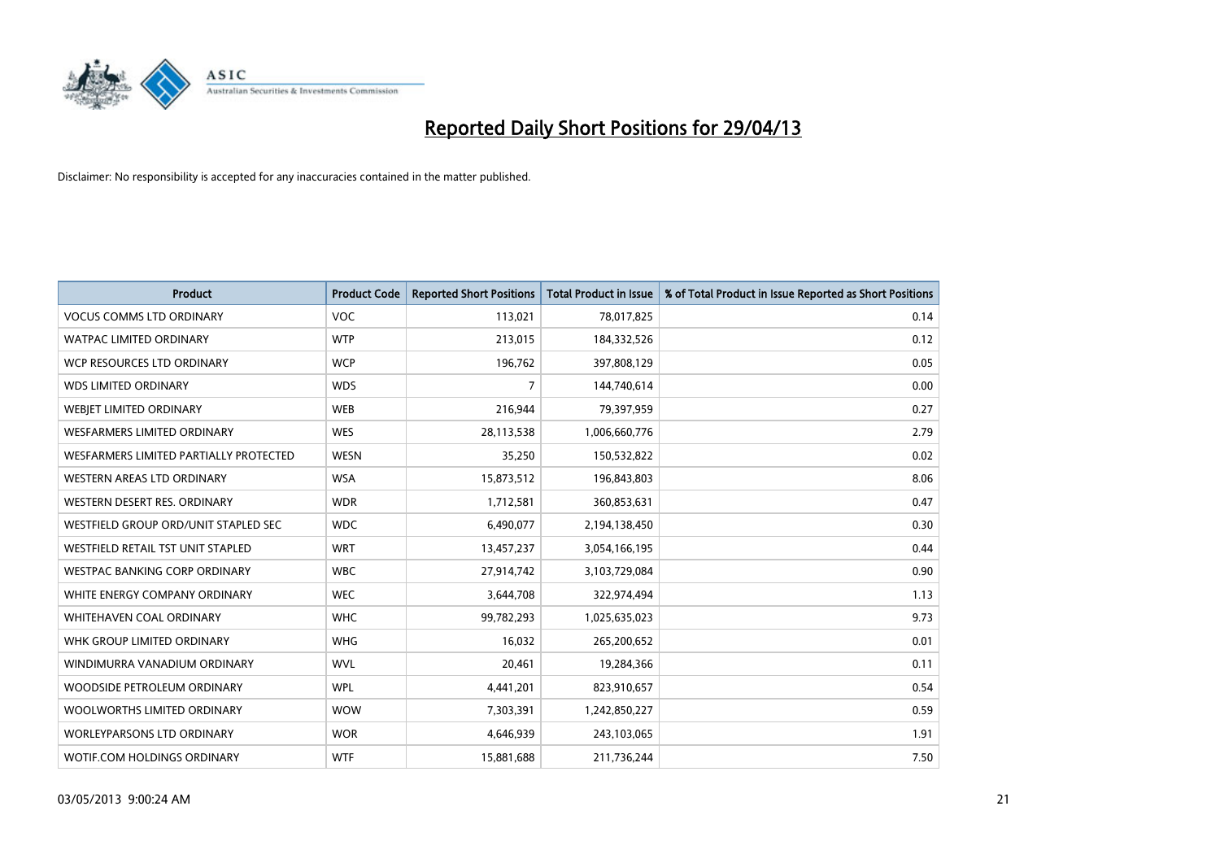

| <b>Product</b>                         | <b>Product Code</b> | <b>Reported Short Positions</b> | <b>Total Product in Issue</b> | % of Total Product in Issue Reported as Short Positions |
|----------------------------------------|---------------------|---------------------------------|-------------------------------|---------------------------------------------------------|
| <b>VOCUS COMMS LTD ORDINARY</b>        | <b>VOC</b>          | 113,021                         | 78,017,825                    | 0.14                                                    |
| <b>WATPAC LIMITED ORDINARY</b>         | <b>WTP</b>          | 213,015                         | 184,332,526                   | 0.12                                                    |
| WCP RESOURCES LTD ORDINARY             | <b>WCP</b>          | 196,762                         | 397,808,129                   | 0.05                                                    |
| <b>WDS LIMITED ORDINARY</b>            | <b>WDS</b>          | 7                               | 144,740,614                   | 0.00                                                    |
| WEBJET LIMITED ORDINARY                | <b>WEB</b>          | 216,944                         | 79,397,959                    | 0.27                                                    |
| WESFARMERS LIMITED ORDINARY            | <b>WES</b>          | 28,113,538                      | 1,006,660,776                 | 2.79                                                    |
| WESFARMERS LIMITED PARTIALLY PROTECTED | <b>WESN</b>         | 35,250                          | 150,532,822                   | 0.02                                                    |
| WESTERN AREAS LTD ORDINARY             | <b>WSA</b>          | 15,873,512                      | 196,843,803                   | 8.06                                                    |
| WESTERN DESERT RES. ORDINARY           | <b>WDR</b>          | 1,712,581                       | 360,853,631                   | 0.47                                                    |
| WESTFIELD GROUP ORD/UNIT STAPLED SEC   | <b>WDC</b>          | 6,490,077                       | 2,194,138,450                 | 0.30                                                    |
| WESTFIELD RETAIL TST UNIT STAPLED      | <b>WRT</b>          | 13,457,237                      | 3,054,166,195                 | 0.44                                                    |
| <b>WESTPAC BANKING CORP ORDINARY</b>   | <b>WBC</b>          | 27,914,742                      | 3,103,729,084                 | 0.90                                                    |
| WHITE ENERGY COMPANY ORDINARY          | <b>WEC</b>          | 3,644,708                       | 322,974,494                   | 1.13                                                    |
| WHITEHAVEN COAL ORDINARY               | <b>WHC</b>          | 99,782,293                      | 1,025,635,023                 | 9.73                                                    |
| WHK GROUP LIMITED ORDINARY             | <b>WHG</b>          | 16,032                          | 265,200,652                   | 0.01                                                    |
| WINDIMURRA VANADIUM ORDINARY           | <b>WVL</b>          | 20,461                          | 19,284,366                    | 0.11                                                    |
| WOODSIDE PETROLEUM ORDINARY            | <b>WPL</b>          | 4,441,201                       | 823,910,657                   | 0.54                                                    |
| WOOLWORTHS LIMITED ORDINARY            | <b>WOW</b>          | 7,303,391                       | 1,242,850,227                 | 0.59                                                    |
| <b>WORLEYPARSONS LTD ORDINARY</b>      | <b>WOR</b>          | 4,646,939                       | 243,103,065                   | 1.91                                                    |
| WOTIF.COM HOLDINGS ORDINARY            | <b>WTF</b>          | 15,881,688                      | 211,736,244                   | 7.50                                                    |